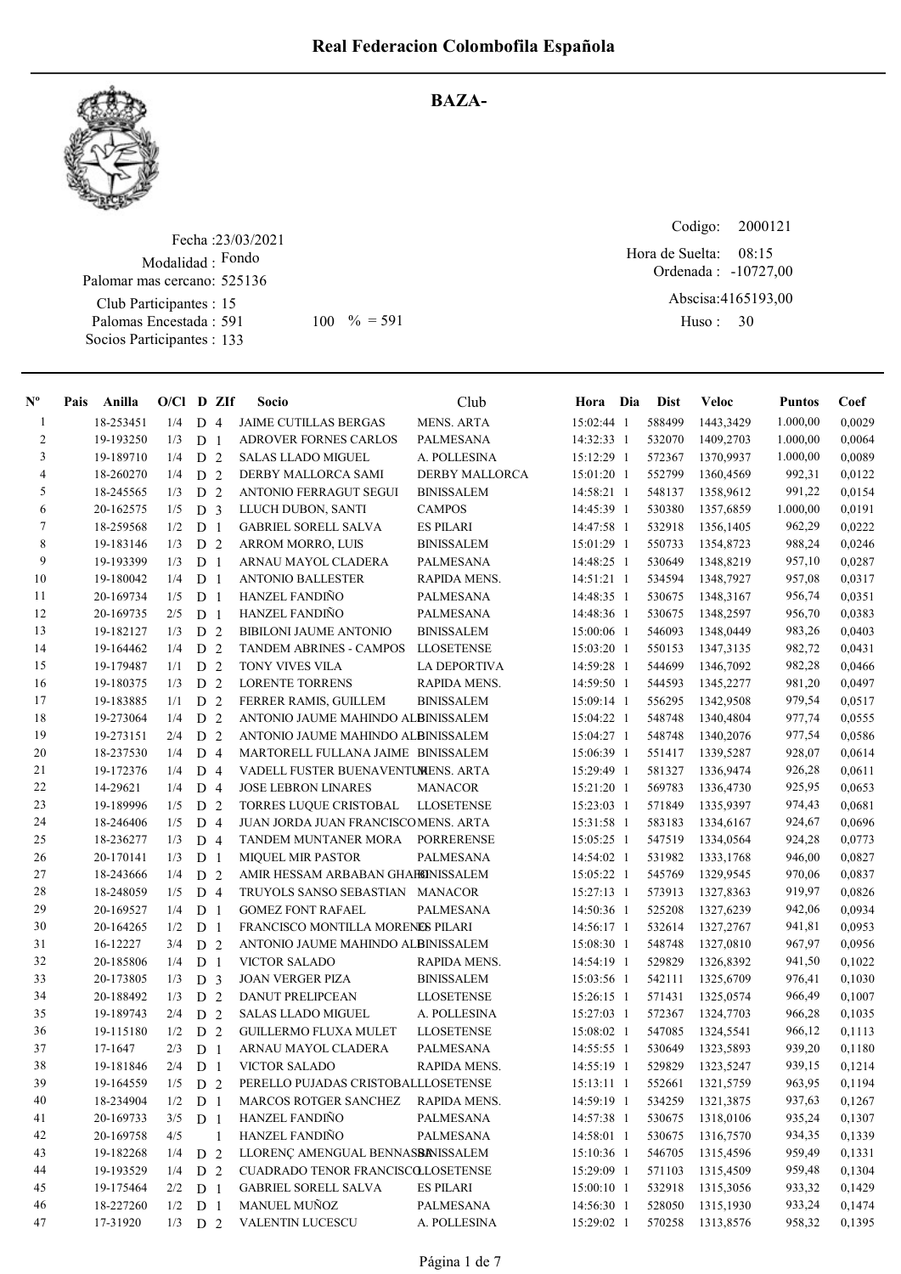

## BAZA-

Fecha : 23/03/2021 Modalidad : Fondo Club Participantes : 15 Palomas Encestada : 591 Socios Participantes : 133 Palomar mas cercano: 525136 591 100 % = 591 Huso: 30

Codigo: Ordenada : -10727,00 Abscisa: 4165193,00 Huso: 30 Hora de Suelta: 08:15

| $N^{\circ}$    | Pais | Anilla    | $O/Cl$ D ZIf |                |              | Socio                               | Club                  | Hora Dia     | <b>Dist</b> | Veloc            | <b>Puntos</b> | Coef   |
|----------------|------|-----------|--------------|----------------|--------------|-------------------------------------|-----------------------|--------------|-------------|------------------|---------------|--------|
| -1             |      | 18-253451 | 1/4          | D <sub>4</sub> |              | <b>JAIME CUTILLAS BERGAS</b>        | <b>MENS. ARTA</b>     | 15:02:44 1   | 588499      | 1443,3429        | 1.000,00      | 0,0029 |
| $\overline{c}$ |      | 19-193250 | 1/3          | D <sub>1</sub> |              | <b>ADROVER FORNES CARLOS</b>        | <b>PALMESANA</b>      | 14:32:33 1   | 532070      | 1409,2703        | 1.000,00      | 0,0064 |
| 3              |      | 19-189710 | 1/4          | D <sub>2</sub> |              | <b>SALAS LLADO MIGUEL</b>           | A. POLLESINA          | 15:12:29 1   | 572367      | 1370,9937        | 1.000,00      | 0,0089 |
| $\overline{4}$ |      | 18-260270 | 1/4          | D <sub>2</sub> |              | DERBY MALLORCA SAMI                 | <b>DERBY MALLORCA</b> | 15:01:20 1   | 552799      | 1360,4569        | 992,31        | 0,0122 |
| 5              |      | 18-245565 | 1/3          | D <sub>2</sub> |              | <b>ANTONIO FERRAGUT SEGUI</b>       | <b>BINISSALEM</b>     | 14:58:21 1   | 548137      | 1358,9612        | 991,22        | 0,0154 |
| 6              |      | 20-162575 | 1/5          | D <sub>3</sub> |              | LLUCH DUBON, SANTI                  | <b>CAMPOS</b>         | 14:45:39 1   | 530380      | 1357,6859        | 1.000,00      | 0,0191 |
| 7              |      | 18-259568 | 1/2          | D <sub>1</sub> |              | <b>GABRIEL SORELL SALVA</b>         | <b>ES PILARI</b>      | 14:47:58 1   | 532918      | 1356,1405        | 962,29        | 0,0222 |
| 8              |      | 19-183146 | 1/3          | D <sub>2</sub> |              | ARROM MORRO, LUIS                   | <b>BINISSALEM</b>     | 15:01:29 1   | 550733      | 1354,8723        | 988,24        | 0,0246 |
| 9              |      | 19-193399 | 1/3          | D <sub>1</sub> |              | ARNAU MAYOL CLADERA                 | PALMESANA             | 14:48:25 1   | 530649      | 1348.8219        | 957,10        | 0,0287 |
| 10             |      | 19-180042 | 1/4          | D <sub>1</sub> |              | <b>ANTONIO BALLESTER</b>            | RAPIDA MENS.          | 14:51:21 1   | 534594      | 1348,7927        | 957,08        | 0,0317 |
| 11             |      | 20-169734 | 1/5          | D <sub>1</sub> |              | <b>HANZEL FANDINO</b>               | PALMESANA             | 14:48:35 1   | 530675      | 1348,3167        | 956,74        | 0,0351 |
| 12             |      | 20-169735 | 2/5          | D <sub>1</sub> |              | <b>HANZEL FANDIÑO</b>               | PALMESANA             | 14:48:36 1   | 530675      | 1348,2597        | 956,70        | 0,0383 |
| 13             |      | 19-182127 | 1/3          | D <sub>2</sub> |              | <b>BIBILONI JAUME ANTONIO</b>       | <b>BINISSALEM</b>     | 15:00:06 1   | 546093      | 1348,0449        | 983,26        | 0,0403 |
| 14             |      | 19-164462 | 1/4          | D <sub>2</sub> |              | <b>TANDEM ABRINES - CAMPOS</b>      | <b>LLOSETENSE</b>     | 15:03:20 1   | 550153      | 1347,3135        | 982,72        | 0,0431 |
| 15             |      | 19-179487 | 1/1          | D <sub>2</sub> |              | TONY VIVES VILA                     | LA DEPORTIVA          | 14:59:28 1   | 544699      | 1346,7092        | 982,28        | 0,0466 |
| 16             |      | 19-180375 | 1/3          | D <sub>2</sub> |              | <b>LORENTE TORRENS</b>              | RAPIDA MENS.          | 14:59:50 1   | 544593      | 1345,2277        | 981,20        | 0,0497 |
| 17             |      | 19-183885 | 1/1          | D <sub>2</sub> |              | FERRER RAMIS, GUILLEM               | <b>BINISSALEM</b>     | 15:09:14 1   | 556295      | 1342,9508        | 979,54        | 0,0517 |
| 18             |      | 19-273064 | 1/4          | D              | 2            | ANTONIO JAUME MAHINDO ALBINISSALEM  |                       | 15:04:22 1   | 548748      | 1340,4804        | 977,74        | 0,0555 |
| 19             |      | 19-273151 | 2/4          | D              | 2            | ANTONIO JAUME MAHINDO ALBINISSALEM  |                       | 15:04:27 1   | 548748      | 1340,2076        | 977,54        | 0,0586 |
| 20             |      | 18-237530 | 1/4          | D <sub>4</sub> |              | MARTORELL FULLANA JAIME BINISSALEM  |                       | 15:06:39 1   | 551417      | 1339,5287        | 928,07        | 0,0614 |
| 21             |      | 19-172376 | 1/4          | D 4            |              | VADELL FUSTER BUENAVENTUMENS. ARTA  |                       | 15:29:49 1   | 581327      | 1336,9474        | 926,28        | 0,0611 |
| 22             |      | 14-29621  | 1/4          | D <sub>4</sub> |              | <b>JOSE LEBRON LINARES</b>          | <b>MANACOR</b>        | 15:21:20 1   | 569783      | 1336,4730        | 925,95        | 0,0653 |
| 23             |      | 19-189996 | 1/5          | D <sub>2</sub> |              | TORRES LUQUE CRISTOBAL              | <b>LLOSETENSE</b>     | 15:23:03 1   | 571849      | 1335,9397        | 974,43        | 0,0681 |
| 24             |      | 18-246406 | 1/5          | $D_4$          |              | JUAN JORDA JUAN FRANCISCOMENS. ARTA |                       | 15:31:58 1   | 583183      | 1334,6167        | 924,67        | 0,0696 |
| 25             |      | 18-236277 | 1/3          | D <sub>4</sub> |              | TANDEM MUNTANER MORA                | PORRERENSE            | 15:05:25 1   | 547519      | 1334,0564        | 924,28        | 0,0773 |
| 26             |      | 20-170141 | 1/3          | D              | $\mathbf{1}$ | <b>MIQUEL MIR PASTOR</b>            | PALMESANA             | 14:54:02 1   | 531982      | 1333,1768        | 946,00        | 0,0827 |
| 27             |      | 18-243666 | 1/4          | D <sub>2</sub> |              | AMIR HESSAM ARBABAN GHAFEINISSALEM  |                       | 15:05:22 1   | 545769      | 1329,9545        | 970,06        | 0,0837 |
| 28             |      | 18-248059 | 1/5          | D <sub>4</sub> |              | TRUYOLS SANSO SEBASTIAN MANACOR     |                       | 15:27:13 1   | 573913      | 1327,8363        | 919,97        | 0,0826 |
| 29             |      | 20-169527 | 1/4          | D <sub>1</sub> |              | <b>GOMEZ FONT RAFAEL</b>            | PALMESANA             | 14:50:36 1   | 525208      | 1327,6239        | 942,06        | 0,0934 |
| 30             |      | 20-164265 | 1/2          | D <sub>1</sub> |              | FRANCISCO MONTILLA MORENES PILARI   |                       | 14:56:17 1   | 532614      | 1327,2767        | 941,81        | 0,0953 |
| 31             |      | 16-12227  | 3/4          | D <sub>2</sub> |              | ANTONIO JAUME MAHINDO ALBINISSALEM  |                       | 15:08:30 1   | 548748      | 1327,0810        | 967,97        | 0,0956 |
| 32             |      | 20-185806 | 1/4          | D <sub>1</sub> |              | VICTOR SALADO                       | RAPIDA MENS.          | 14:54:19 1   | 529829      | 1326,8392        | 941,50        | 0,1022 |
| 33             |      | 20-173805 | 1/3          | D <sub>3</sub> |              | <b>JOAN VERGER PIZA</b>             | <b>BINISSALEM</b>     | 15:03:56 1   | 542111      | 1325,6709        | 976,41        | 0,1030 |
| 34             |      | 20-188492 | 1/3          | D <sub>2</sub> |              | <b>DANUT PRELIPCEAN</b>             | <b>LLOSETENSE</b>     | $15:26:15$ 1 | 571431      | 1325,0574        | 966,49        | 0,1007 |
| 35             |      | 19-189743 | 2/4          | D 2            |              | <b>SALAS LLADO MIGUEL</b>           | A. POLLESINA          | 15:27:03 1   | 572367      | 1324,7703        | 966,28        | 0,1035 |
| 36             |      | 19-115180 | 1/2          | D <sub>2</sub> |              | <b>GUILLERMO FLUXA MULET</b>        | <b>LLOSETENSE</b>     | 15:08:02 1   | 547085      | 1324,5541        | 966,12        | 0,1113 |
| 37             |      | 17-1647   | 2/3          | D <sub>1</sub> |              | ARNAU MAYOL CLADERA                 | PALMESANA             | 14:55:55 1   | 530649      | 1323,5893        | 939,20        | 0,1180 |
| 38             |      | 19-181846 | 2/4          | $D_1$          |              | VICTOR SALADO                       | RAPIDA MENS.          | 14:55:19 1   |             | 529829 1323,5247 | 939,15        | 0,1214 |
| 39             |      | 19-164559 | 1/5          | D <sub>2</sub> |              | PERELLO PUJADAS CRISTOBALLLOSETENSE |                       | $15:13:11$ 1 | 552661      | 1321,5759        | 963,95        | 0,1194 |
| 40             |      | 18-234904 | 1/2          | D <sub>1</sub> |              | MARCOS ROTGER SANCHEZ RAPIDA MENS.  |                       | 14:59:19 1   | 534259      | 1321,3875        | 937,63        | 0,1267 |
| 41             |      | 20-169733 | 3/5          | D <sub>1</sub> |              | HANZEL FANDIÑO                      | PALMESANA             | 14:57:38 1   | 530675      | 1318,0106        | 935,24        | 0,1307 |
| 42             |      | 20-169758 | 4/5          |                | 1            | HANZEL FANDIÑO                      | PALMESANA             | $14:58:01$ 1 | 530675      | 1316,7570        | 934,35        | 0,1339 |
| 43             |      | 19-182268 | 1/4          | D <sub>2</sub> |              | LLORENÇ AMENGUAL BENNASBANISSALEM   |                       | 15:10:36 1   | 546705      | 1315,4596        | 959,49        | 0,1331 |
| 44             |      | 19-193529 | 1/4          | D <sub>2</sub> |              | CUADRADO TENOR FRANCISCOLLOSETENSE  |                       | 15:29:09 1   | 571103      | 1315,4509        | 959,48        | 0,1304 |
| 45             |      | 19-175464 | 2/2          | D <sub>1</sub> |              | <b>GABRIEL SORELL SALVA</b>         | <b>ES PILARI</b>      | 15:00:10 1   | 532918      | 1315,3056        | 933,32        | 0,1429 |
| 46             |      | 18-227260 | 1/2          | D <sub>1</sub> |              | MANUEL MUÑOZ                        | PALMESANA             | 14:56:30 1   | 528050      | 1315,1930        | 933,24        | 0,1474 |
| 47             |      | 17-31920  | $1/3$ D 2    |                |              | VALENTIN LUCESCU                    | A. POLLESINA          | 15:29:02 1   | 570258      | 1313,8576        | 958,32        | 0,1395 |
|                |      |           |              |                |              |                                     |                       |              |             |                  |               |        |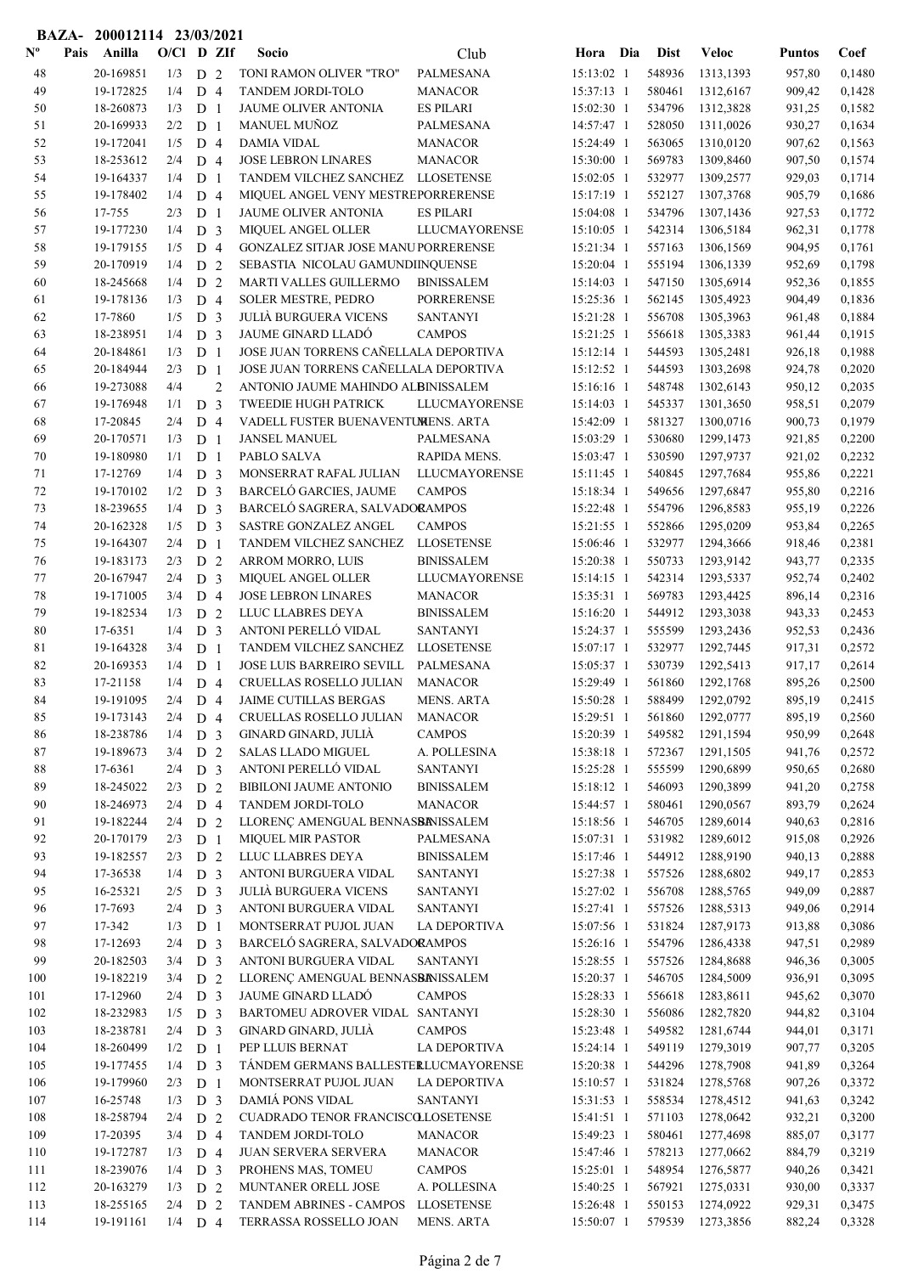|                           | <b>BAZA-</b> | 200012114 23/03/2021   |              |                                  |                |                                                                 |                      |                          |     |                  |                        |                  |                  |
|---------------------------|--------------|------------------------|--------------|----------------------------------|----------------|-----------------------------------------------------------------|----------------------|--------------------------|-----|------------------|------------------------|------------------|------------------|
| $\mathbf{N}^{\mathbf{o}}$ | Pais         | Anilla                 | $O/C1$ D ZIf |                                  |                | Socio                                                           | Club                 | Hora                     | Dia | <b>Dist</b>      | <b>Veloc</b>           | <b>Puntos</b>    | Coef             |
| 48                        |              | 20-169851              | 1/3          | D 2                              |                | TONI RAMON OLIVER "TRO"                                         | PALMESANA            | 15:13:02 1               |     | 548936           | 1313,1393              | 957,80           | 0,1480           |
| 49                        |              | 19-172825              | 1/4          | D <sub>4</sub>                   |                | TANDEM JORDI-TOLO                                               | <b>MANACOR</b>       | 15:37:13 1               |     | 580461           | 1312,6167              | 909,42           | 0,1428           |
| 50                        |              | 18-260873              | 1/3          | D <sub>1</sub>                   |                | JAUME OLIVER ANTONIA                                            | <b>ES PILARI</b>     | 15:02:30 1               |     | 534796           | 1312,3828              | 931,25           | 0,1582           |
| 51                        |              | 20-169933              | 2/2          | D <sub>1</sub>                   |                | MANUEL MUÑOZ                                                    | PALMESANA            | 14:57:47 1               |     | 528050           | 1311,0026              | 930,27           | 0,1634           |
| 52                        |              | 19-172041              | 1/5          | D <sub>4</sub>                   |                | <b>DAMIA VIDAL</b>                                              | <b>MANACOR</b>       | 15:24:49 1               |     | 563065           | 1310,0120              | 907,62           | 0,1563           |
| 53                        |              | 18-253612              | 2/4          | D <sub>4</sub>                   |                | <b>JOSE LEBRON LINARES</b>                                      | <b>MANACOR</b>       | 15:30:00 1               |     | 569783           | 1309,8460              | 907,50           | 0,1574           |
| 54                        |              | 19-164337              | 1/4          | D <sub>1</sub>                   |                | TANDEM VILCHEZ SANCHEZ LLOSETENSE                               |                      | $15:02:05$ 1             |     | 532977           | 1309,2577              | 929,03           | 0,1714           |
| 55                        |              | 19-178402              | 1/4          | D <sub>4</sub>                   |                | MIQUEL ANGEL VENY MESTREPORRERENSE                              |                      | 15:17:19 1               |     | 552127           | 1307,3768              | 905,79           | 0,1686           |
| 56                        |              | 17-755                 | 2/3          | D <sub>1</sub>                   |                | JAUME OLIVER ANTONIA                                            | <b>ES PILARI</b>     | 15:04:08 1               |     | 534796           | 1307,1436              | 927,53           | 0,1772           |
| 57                        |              | 19-177230              | 1/4          | D <sub>3</sub>                   |                | MIQUEL ANGEL OLLER                                              | <b>LLUCMAYORENSE</b> | 15:10:05 1               |     | 542314           | 1306,5184              | 962,31           | 0,1778           |
| 58                        |              | 19-179155              | 1/5          | D <sub>4</sub>                   |                | GONZALEZ SITJAR JOSE MANUPORRERENSE                             |                      | 15:21:34 1               |     | 557163           | 1306,1569              | 904,95           | 0,1761           |
| 59                        |              | 20-170919              | 1/4          | D <sub>2</sub>                   |                | SEBASTIA NICOLAU GAMUNDIINQUENSE                                |                      | 15:20:04 1               |     | 555194           | 1306,1339              | 952,69           | 0,1798           |
| 60                        |              | 18-245668              | 1/4          | D <sub>2</sub>                   |                | <b>MARTI VALLES GUILLERMO</b>                                   | <b>BINISSALEM</b>    | $15:14:03$ 1             |     | 547150           | 1305,6914              | 952,36           | 0,1855           |
| 61                        |              | 19-178136              | 1/3          | D <sub>4</sub>                   |                | <b>SOLER MESTRE, PEDRO</b>                                      | <b>PORRERENSE</b>    | 15:25:36 1               |     | 562145           | 1305,4923              | 904,49           | 0,1836           |
| 62                        |              | 17-7860                | 1/5          | D <sub>3</sub>                   |                | <b>JULIÀ BURGUERA VICENS</b>                                    | <b>SANTANYI</b>      | 15:21:28 1               |     | 556708           | 1305,3963              | 961,48           | 0,1884           |
| 63                        |              | 18-238951              | 1/4          | D <sub>3</sub>                   |                | <b>JAUME GINARD LLADÓ</b>                                       | <b>CAMPOS</b>        | 15:21:25 1               |     | 556618           | 1305,3383              | 961,44           | 0,1915           |
| 64                        |              | 20-184861              | 1/3          | D <sub>1</sub>                   |                | JOSE JUAN TORRENS CAÑELLALA DEPORTIVA                           |                      | 15:12:14 1               |     | 544593           | 1305,2481              | 926,18           | 0,1988           |
| 65                        |              | 20-184944              | 2/3          | D <sub>1</sub>                   |                | JOSE JUAN TORRENS CAÑELLALA DEPORTIVA                           |                      | 15:12:52 1               |     | 544593           | 1303,2698              | 924,78           | 0,2020           |
| 66                        |              | 19-273088              | 4/4          |                                  | $\overline{2}$ | ANTONIO JAUME MAHINDO ALBINISSALEM                              |                      | $15:16:16$ 1             |     | 548748           | 1302,6143              | 950,12           | 0,2035           |
| 67                        |              | 19-176948              | 1/1          | D <sub>3</sub>                   |                | TWEEDIE HUGH PATRICK                                            | LLUCMAYORENSE        | 15:14:03 1               |     | 545337           | 1301,3650              | 958,51           | 0,2079           |
| 68                        |              | 17-20845               | 2/4          | D <sub>4</sub>                   |                | VADELL FUSTER BUENAVENTUMENS. ARTA                              |                      | 15:42:09 1               |     | 581327           | 1300,0716              | 900,73           | 0,1979           |
| 69                        |              | 20-170571              | 1/3          | D <sub>1</sub>                   |                | <b>JANSEL MANUEL</b>                                            | PALMESANA            | 15:03:29 1               |     | 530680           | 1299,1473              | 921,85           | 0,2200           |
| 70                        |              | 19-180980              | 1/1          | D <sub>1</sub>                   |                | PABLO SALVA                                                     | RAPIDA MENS.         | 15:03:47 1               |     | 530590           | 1297,9737              | 921,02           | 0,2232           |
| 71                        |              | 17-12769               | 1/4          | D <sub>3</sub>                   |                | MONSERRAT RAFAL JULIAN                                          | <b>LLUCMAYORENSE</b> | 15:11:45 1               |     | 540845           | 1297,7684              | 955,86           | 0,2221           |
| 72<br>73                  |              | 19-170102<br>18-239655 | 1/2          | D <sub>3</sub><br>D <sub>3</sub> |                | <b>BARCELÓ GARCIES, JAUME</b><br>BARCELÓ SAGRERA, SALVADORAMPOS | <b>CAMPOS</b>        | 15:18:34 1<br>15:22:48 1 |     | 549656<br>554796 | 1297,6847              | 955,80<br>955,19 | 0,2216           |
| 74                        |              | 20-162328              | 1/4<br>1/5   | D <sub>3</sub>                   |                | SASTRE GONZALEZ ANGEL                                           | <b>CAMPOS</b>        | 15:21:55 1               |     | 552866           | 1296,8583<br>1295,0209 | 953,84           | 0,2226<br>0,2265 |
| 75                        |              | 19-164307              | 2/4          | D <sub>1</sub>                   |                | TANDEM VILCHEZ SANCHEZ                                          | <b>LLOSETENSE</b>    | 15:06:46 1               |     | 532977           | 1294,3666              | 918,46           | 0,2381           |
| 76                        |              | 19-183173              | 2/3          | D <sub>2</sub>                   |                | ARROM MORRO, LUIS                                               | <b>BINISSALEM</b>    | 15:20:38 1               |     | 550733           | 1293,9142              | 943,77           | 0,2335           |
| 77                        |              | 20-167947              | 2/4          | D <sub>3</sub>                   |                | MIQUEL ANGEL OLLER                                              | <b>LLUCMAYORENSE</b> | 15:14:15 1               |     | 542314           | 1293,5337              | 952,74           | 0,2402           |
| 78                        |              | 19-171005              | 3/4          | D <sub>4</sub>                   |                | <b>JOSE LEBRON LINARES</b>                                      | <b>MANACOR</b>       | 15:35:31 1               |     | 569783           | 1293,4425              | 896,14           | 0,2316           |
| 79                        |              | 19-182534              | 1/3          | D <sub>2</sub>                   |                | LLUC LLABRES DEYA                                               | <b>BINISSALEM</b>    | 15:16:20 1               |     | 544912           | 1293,3038              | 943,33           | 0,2453           |
| 80                        |              | 17-6351                | 1/4          | D <sub>3</sub>                   |                | ANTONI PERELLÓ VIDAL                                            | <b>SANTANYI</b>      | 15:24:37 1               |     | 555599           | 1293,2436              | 952,53           | 0,2436           |
| 81                        |              | 19-164328              | 3/4          | D <sub>1</sub>                   |                | TANDEM VILCHEZ SANCHEZ                                          | <b>LLOSETENSE</b>    | 15:07:17 1               |     | 532977           | 1292,7445              | 917,31           | 0,2572           |
| 82                        |              | 20-169353              | 1/4          | D <sub>1</sub>                   |                | JOSE LUIS BARREIRO SEVILL                                       | <b>PALMESANA</b>     | 15:05:37 1               |     | 530739           | 1292,5413              | 917,17           | 0,2614           |
| 83                        |              | 17-21158               | 1/4          | D <sub>4</sub>                   |                | CRUELLAS ROSELLO JULIAN                                         | <b>MANACOR</b>       | 15:29:49 1               |     | 561860           | 1292,1768              | 895,26           | 0,2500           |
| 84                        |              | 19-191095              | 2/4          | D <sub>4</sub>                   |                | JAIME CUTILLAS BERGAS                                           | <b>MENS. ARTA</b>    | 15:50:28 1               |     | 588499           | 1292,0792              | 895,19           | 0,2415           |
| 85                        |              | 19-173143              | 2/4          | D <sub>4</sub>                   |                | CRUELLAS ROSELLO JULIAN                                         | <b>MANACOR</b>       | 15:29:51 1               |     | 561860           | 1292,0777              | 895,19           | 0,2560           |
| 86                        |              | 18-238786              | 1/4          | D <sub>3</sub>                   |                | GINARD GINARD, JULIÀ                                            | <b>CAMPOS</b>        | 15:20:39 1               |     | 549582           | 1291,1594              | 950,99           | 0,2648           |
| 87                        |              | 19-189673              | 3/4          | D <sub>2</sub>                   |                | <b>SALAS LLADO MIGUEL</b>                                       | A. POLLESINA         | 15:38:18 1               |     | 572367           | 1291,1505              | 941,76           | 0,2572           |
| 88                        |              | 17-6361                | 2/4          | D <sub>3</sub>                   |                | ANTONI PERELLÓ VIDAL                                            | <b>SANTANYI</b>      | 15:25:28 1               |     | 555599           | 1290,6899              | 950,65           | 0,2680           |
| 89                        |              | 18-245022              | 2/3          | D <sub>2</sub>                   |                | BIBILONI JAUME ANTONIO                                          | <b>BINISSALEM</b>    | 15:18:12 1               |     | 546093           | 1290,3899              | 941,20           | 0,2758           |
| 90                        |              | 18-246973              | 2/4          | D <sub>4</sub>                   |                | TANDEM JORDI-TOLO                                               | <b>MANACOR</b>       | 15:44:57 1               |     | 580461           | 1290,0567              | 893,79           | 0,2624           |
| 91                        |              | 19-182244              | 2/4          | D <sub>2</sub>                   |                | LLORENÇ AMENGUAL BENNASBANISSALEM                               |                      | 15:18:56 1               |     | 546705           | 1289,6014              | 940,63           | 0,2816           |
| 92                        |              | 20-170179              | 2/3          | D <sub>1</sub>                   |                | <b>MIQUEL MIR PASTOR</b>                                        | PALMESANA            | 15:07:31 1               |     | 531982           | 1289,6012              | 915,08           | 0,2926           |
| 93                        |              | 19-182557              | 2/3          | D <sub>2</sub>                   |                | LLUC LLABRES DEYA                                               | <b>BINISSALEM</b>    | 15:17:46 1               |     | 544912           | 1288,9190              | 940,13           | 0,2888           |
| 94                        |              | 17-36538               | 1/4          | D <sub>3</sub>                   |                | ANTONI BURGUERA VIDAL                                           | <b>SANTANYI</b>      | 15:27:38 1               |     | 557526           | 1288,6802              | 949,17           | 0,2853           |
| 95                        |              | 16-25321               | 2/5          | D <sub>3</sub>                   |                | <b>JULIÀ BURGUERA VICENS</b>                                    | <b>SANTANYI</b>      | 15:27:02 1               |     | 556708           | 1288,5765              | 949,09           | 0,2887           |
| 96                        |              | 17-7693                | 2/4          | D <sub>3</sub>                   |                | ANTONI BURGUERA VIDAL                                           | <b>SANTANYI</b>      | 15:27:41 1               |     | 557526           | 1288,5313              | 949,06           | 0,2914           |
| 97                        |              | 17-342                 | 1/3          | D <sub>1</sub>                   |                | MONTSERRAT PUJOL JUAN                                           | LA DEPORTIVA         | 15:07:56 1               |     | 531824           | 1287,9173              | 913,88           | 0,3086           |
| 98                        |              | 17-12693               | 2/4          | D <sub>3</sub>                   |                | BARCELÓ SAGRERA, SALVADORAMPOS                                  |                      | 15:26:16 1               |     | 554796           | 1286,4338              | 947,51           | 0,2989           |
| 99                        |              | 20-182503              | 3/4          | D <sub>3</sub>                   |                | ANTONI BURGUERA VIDAL                                           | <b>SANTANYI</b>      | 15:28:55 1               |     | 557526           | 1284,8688              | 946,36           | 0,3005           |
| 100                       |              | 19-182219              | 3/4          | D 2                              |                | LLORENÇ AMENGUAL BENNASBANISSALEM                               |                      | 15:20:37 1               |     | 546705           | 1284,5009              | 936,91           | 0,3095           |
| 101                       |              | 17-12960               | 2/4          | D <sub>3</sub>                   |                | JAUME GINARD LLADÓ                                              | <b>CAMPOS</b>        | 15:28:33 1               |     | 556618           | 1283,8611              | 945,62           | 0,3070           |
| 102                       |              | 18-232983              | 1/5          | D <sub>3</sub>                   |                | BARTOMEU ADROVER VIDAL SANTANYI                                 |                      | 15:28:30 1               |     | 556086           | 1282,7820              | 944,82           | 0,3104           |
| 103                       |              | 18-238781              | 2/4          | D <sub>3</sub>                   |                | GINARD GINARD, JULIA                                            | <b>CAMPOS</b>        | 15:23:48 1               |     | 549582           | 1281,6744              | 944,01           | 0,3171           |
| 104                       |              | 18-260499              | 1/2          | D <sub>1</sub>                   |                | PEP LLUIS BERNAT                                                | <b>LA DEPORTIVA</b>  | 15:24:14 1               |     | 549119           | 1279,3019              | 907,77           | 0,3205           |
| 105                       |              | 19-177455              | 1/4          | D <sub>3</sub>                   |                | TÁNDEM GERMANS BALLESTERLUCMAYORENSE                            |                      | 15:20:38 1               |     | 544296           | 1278,7908              | 941,89           | 0,3264           |
| 106                       |              | 19-179960              | 2/3          | D <sub>1</sub>                   |                | MONTSERRAT PUJOL JUAN                                           | <b>LA DEPORTIVA</b>  | 15:10:57 1               |     | 531824           | 1278,5768              | 907,26           | 0,3372           |
| 107                       |              | 16-25748               | 1/3          | D <sub>3</sub>                   |                | DAMIÁ PONS VIDAL                                                | <b>SANTANYI</b>      | 15:31:53 1               |     | 558534           | 1278,4512              | 941,63           | 0,3242           |
| 108                       |              | 18-258794              | 2/4          | D <sub>2</sub>                   |                | CUADRADO TENOR FRANCISCOLLOSETENSE                              |                      | 15:41:51 1               |     | 571103           | 1278,0642              | 932,21           | 0,3200           |
| 109                       |              | 17-20395               | 3/4          | D <sub>4</sub>                   |                | TANDEM JORDI-TOLO                                               | <b>MANACOR</b>       | 15:49:23 1               |     | 580461           | 1277,4698              | 885,07           | 0,3177           |
| 110                       |              | 19-172787              | 1/3          | D 4                              |                | <b>JUAN SERVERA SERVERA</b>                                     | <b>MANACOR</b>       | 15:47:46 1               |     | 578213           | 1277,0662              | 884,79           | 0,3219           |
| 111                       |              | 18-239076              | 1/4          | D <sub>3</sub>                   |                | PROHENS MAS, TOMEU                                              | <b>CAMPOS</b>        | 15:25:01 1               |     | 548954           | 1276,5877              | 940,26           | 0,3421           |
| 112                       |              | 20-163279              | 1/3          | D <sub>2</sub>                   |                | MUNTANER ORELL JOSE                                             | A. POLLESINA         | 15:40:25 1               |     | 567921           | 1275,0331              | 930,00           | 0,3337           |
| 113                       |              | 18-255165              | 2/4          | D <sub>2</sub>                   |                | TANDEM ABRINES - CAMPOS                                         | <b>LLOSETENSE</b>    | 15:26:48 1               |     | 550153           | 1274,0922              | 929,31           | 0,3475           |
| 114                       |              | 19-191161              | $1/4$ D 4    |                                  |                | TERRASSA ROSSELLO JOAN                                          | <b>MENS. ARTA</b>    | 15:50:07 1               |     | 579539           | 1273,3856              | 882,24           | 0,3328           |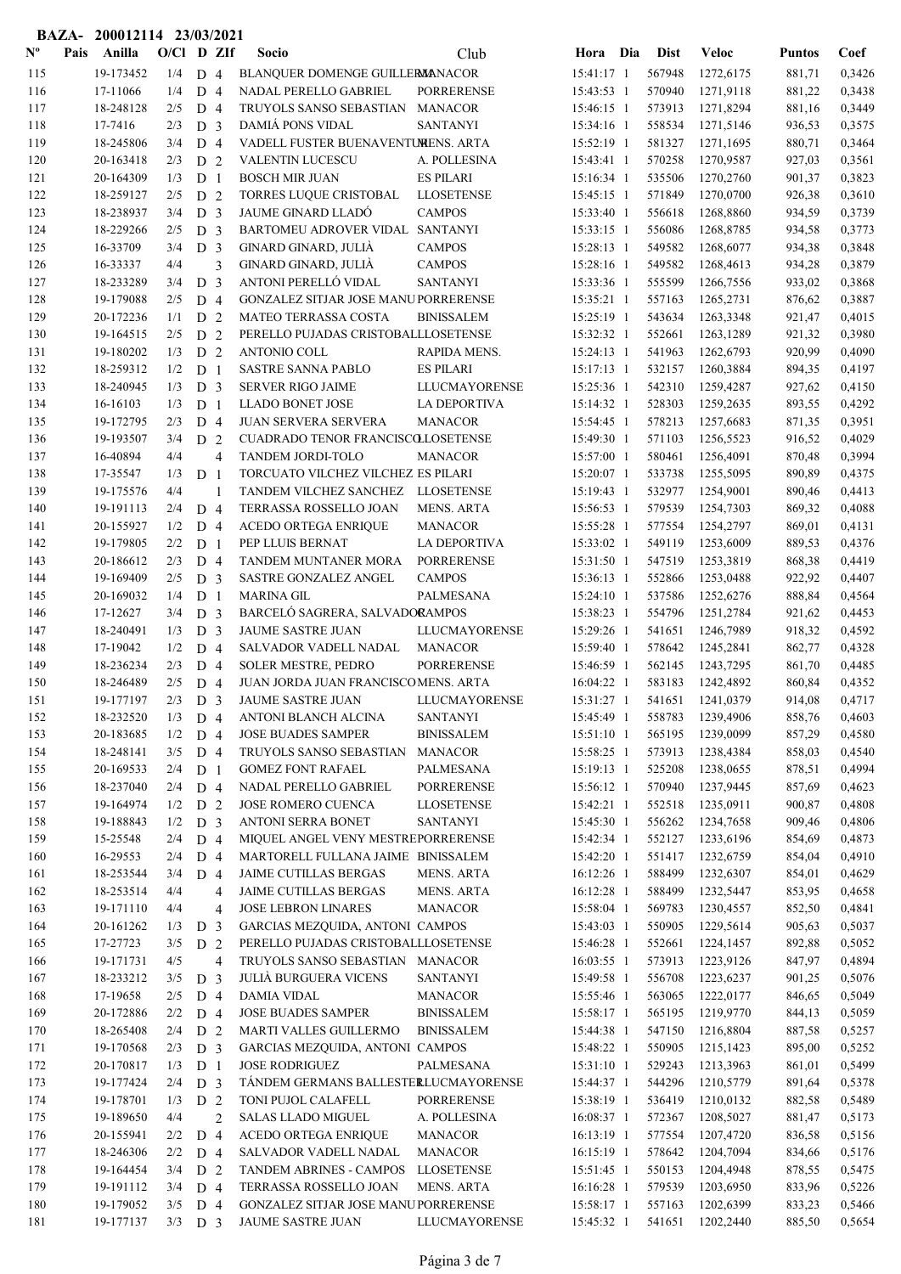|                           |      | BAZA- 200012114 23/03/2021 |              |                |                |                                                             |                                     |                          |                  |                        |                  |                  |
|---------------------------|------|----------------------------|--------------|----------------|----------------|-------------------------------------------------------------|-------------------------------------|--------------------------|------------------|------------------------|------------------|------------------|
| $\mathbf{N}^{\mathbf{o}}$ | Pais | Anilla                     | $O/CI$ D ZIf |                |                | Socio                                                       | Club                                | Hora Dia                 | <b>Dist</b>      | <b>Veloc</b>           | <b>Puntos</b>    | Coef             |
| 115                       |      | 19-173452                  | 1/4          | D <sub>4</sub> |                | BLANQUER DOMENGE GUILLERMANACOR                             |                                     | 15:41:17 1               | 567948           | 1272,6175              | 881,71           | 0,3426           |
| 116                       |      | 17-11066                   | 1/4          | D <sub>4</sub> |                | NADAL PERELLO GABRIEL                                       | <b>PORRERENSE</b>                   | 15:43:53 1               | 570940           | 1271,9118              | 881,22           | 0,3438           |
| 117                       |      | 18-248128                  | 2/5          | D <sub>4</sub> |                | TRUYOLS SANSO SEBASTIAN MANACOR                             |                                     | 15:46:15 1               | 573913           | 1271,8294              | 881,16           | 0,3449           |
| 118                       |      | 17-7416                    | 2/3          | D <sub>3</sub> |                | DAMIÁ PONS VIDAL                                            | <b>SANTANYI</b>                     | 15:34:16 1               | 558534           | 1271,5146              | 936,53           | 0,3575           |
| 119                       |      | 18-245806                  | 3/4          | D <sub>4</sub> |                | VADELL FUSTER BUENAVENTUMENS. ARTA                          |                                     | 15:52:19 1               | 581327           | 1271,1695              | 880,71           | 0,3464           |
| 120                       |      | 20-163418                  | 2/3          | D <sub>2</sub> |                | VALENTIN LUCESCU                                            | A. POLLESINA                        | 15:43:41 1               | 570258           | 1270,9587              | 927,03           | 0,3561           |
| 121                       |      | 20-164309                  | 1/3          | D <sub>1</sub> |                | <b>BOSCH MIR JUAN</b>                                       | <b>ES PILARI</b>                    | 15:16:34 1               | 535506           | 1270,2760              | 901,37           | 0,3823           |
| 122                       |      | 18-259127                  | 2/5          | D <sub>2</sub> |                | TORRES LUQUE CRISTOBAL                                      | <b>LLOSETENSE</b>                   | 15:45:15 1               | 571849           | 1270,0700              | 926,38           | 0,3610           |
| 123                       |      | 18-238937                  | 3/4          | D <sub>3</sub> |                | JAUME GINARD LLADÓ                                          | <b>CAMPOS</b>                       | 15:33:40 1               | 556618           | 1268,8860              | 934,59           | 0,3739           |
| 124                       |      | 18-229266                  | 2/5          | D <sub>3</sub> |                | BARTOMEU ADROVER VIDAL SANTANYI                             |                                     | 15:33:15 1               | 556086           | 1268,8785              | 934,58           | 0,3773           |
| 125                       |      | 16-33709                   | 3/4          | D <sub>3</sub> |                | GINARD GINARD, JULIÀ                                        | <b>CAMPOS</b>                       | 15:28:13 1               | 549582           | 1268,6077              | 934,38           | 0,3848           |
| 126                       |      | 16-33337                   | 4/4          |                | 3              | GINARD GINARD, JULIÀ                                        | <b>CAMPOS</b>                       | 15:28:16 1               | 549582           | 1268,4613              | 934,28           | 0,3879           |
| 127                       |      | 18-233289                  | 3/4          | D <sub>3</sub> |                | ANTONI PERELLÓ VIDAL                                        | <b>SANTANYI</b>                     | 15:33:36 1               | 555599           | 1266,7556              | 933,02           | 0,3868           |
| 128                       |      | 19-179088                  | 2/5          | D <sub>4</sub> |                | <b>GONZALEZ SITJAR JOSE MANUPORRERENSE</b>                  |                                     | 15:35:21 1               | 557163           | 1265,2731              | 876,62           | 0,3887           |
| 129                       |      | 20-172236                  | 1/1          | D <sub>2</sub> |                | <b>MATEO TERRASSA COSTA</b>                                 | <b>BINISSALEM</b>                   | 15:25:19 1               | 543634           | 1263,3348              | 921,47           | 0,4015           |
| 130                       |      | 19-164515                  | 2/5          | D <sub>2</sub> |                | PERELLO PUJADAS CRISTOBALLLOSETENSE                         |                                     | 15:32:32 1               | 552661           | 1263,1289              | 921,32           | 0,3980           |
| 131                       |      | 19-180202                  | 1/3          | D <sub>2</sub> |                | <b>ANTONIO COLL</b>                                         | RAPIDA MENS.                        | 15:24:13 1               | 541963           | 1262,6793              | 920,99           | 0,4090           |
| 132                       |      | 18-259312                  | 1/2          | D <sub>1</sub> |                | <b>SASTRE SANNA PABLO</b>                                   | <b>ES PILARI</b>                    | 15:17:13 1               | 532157           | 1260,3884              | 894,35           | 0,4197           |
| 133                       |      | 18-240945                  | 1/3          | D <sub>3</sub> |                | <b>SERVER RIGO JAIME</b>                                    | <b>LLUCMAYORENSE</b>                | 15:25:36 1               | 542310           | 1259,4287              | 927,62           | 0,4150           |
| 134                       |      | 16-16103                   | 1/3          | D <sub>1</sub> |                | <b>LLADO BONET JOSE</b>                                     | LA DEPORTIVA                        | 15:14:32 1               | 528303           | 1259,2635              | 893,55           | 0,4292           |
| 135                       |      | 19-172795                  | 2/3          | D <sub>4</sub> |                | <b>JUAN SERVERA SERVERA</b>                                 | <b>MANACOR</b>                      | 15:54:45 1               | 578213           | 1257,6683              | 871,35           | 0,3951           |
| 136                       |      | 19-193507                  | 3/4          | D <sub>2</sub> |                | CUADRADO TENOR FRANCISCOLLOSETENSE                          |                                     | 15:49:30 1               | 571103           | 1256,5523              | 916,52           | 0,4029           |
| 137                       |      | 16-40894                   | 4/4          |                | $\overline{4}$ | TANDEM JORDI-TOLO                                           | <b>MANACOR</b>                      | 15:57:00 1               | 580461           | 1256,4091              | 870,48           | 0,3994           |
| 138                       |      | 17-35547                   | 1/3          | D <sub>1</sub> |                | TORCUATO VILCHEZ VILCHEZ ES PILARI                          |                                     | 15:20:07 1               | 533738           | 1255,5095              | 890,89           | 0,4375           |
| 139                       |      | 19-175576<br>19-191113     | 4/4          | D <sub>4</sub> |                | TANDEM VILCHEZ SANCHEZ LLOSETENSE<br>TERRASSA ROSSELLO JOAN |                                     | 15:19:43 1<br>15:56:53 1 | 532977<br>579539 | 1254,9001              | 890,46<br>869,32 | 0,4413<br>0,4088 |
| 140<br>141                |      | 20-155927                  | 2/4<br>1/2   | D <sub>4</sub> |                | ACEDO ORTEGA ENRIQUE                                        | <b>MENS. ARTA</b><br><b>MANACOR</b> | 15:55:28 1               | 577554           | 1254,7303<br>1254,2797 | 869,01           | 0,4131           |
| 142                       |      | 19-179805                  | 2/2          | D <sub>1</sub> |                | PEP LLUIS BERNAT                                            | LA DEPORTIVA                        | 15:33:02 1               | 549119           | 1253,6009              | 889,53           | 0,4376           |
| 143                       |      | 20-186612                  | 2/3          | D <sub>4</sub> |                | TANDEM MUNTANER MORA                                        | <b>PORRERENSE</b>                   | 15:31:50 1               | 547519           | 1253,3819              | 868,38           | 0,4419           |
| 144                       |      | 19-169409                  | 2/5          | D <sub>3</sub> |                | SASTRE GONZALEZ ANGEL                                       | <b>CAMPOS</b>                       | 15:36:13 1               | 552866           | 1253,0488              | 922,92           | 0,4407           |
| 145                       |      | 20-169032                  | 1/4          | D <sub>1</sub> |                | <b>MARINA GIL</b>                                           | PALMESANA                           | 15:24:10 1               | 537586           | 1252,6276              | 888,84           | 0,4564           |
| 146                       |      | 17-12627                   | 3/4          | D <sub>3</sub> |                | BARCELÓ SAGRERA, SALVADORAMPOS                              |                                     | 15:38:23 1               | 554796           | 1251,2784              | 921,62           | 0,4453           |
| 147                       |      | 18-240491                  | 1/3          | D <sub>3</sub> |                | <b>JAUME SASTRE JUAN</b>                                    | LLUCMAYORENSE                       | 15:29:26 1               | 541651           | 1246,7989              | 918,32           | 0,4592           |
| 148                       |      | 17-19042                   | 1/2          | D <sub>4</sub> |                | SALVADOR VADELL NADAL                                       | <b>MANACOR</b>                      | 15:59:40 1               | 578642           | 1245,2841              | 862,77           | 0,4328           |
| 149                       |      | 18-236234                  | 2/3          | D <sub>4</sub> |                | SOLER MESTRE, PEDRO                                         | <b>PORRERENSE</b>                   | 15:46:59 1               | 562145           | 1243,7295              | 861,70           | 0,4485           |
| 150                       |      | 18-246489                  | 2/5          | D <sub>4</sub> |                | JUAN JORDA JUAN FRANCISCOMENS. ARTA                         |                                     | 16:04:22 1               | 583183           | 1242,4892              | 860,84           | 0,4352           |
| 151                       |      | 19-177197                  | $2/3$ D 3    |                |                | JAUME SASTRE JUAN                                           | <b>LLUCMAYORENSE</b>                | $15:31:27$ 1             | 541651           | 1241,0379              | 914,08           | 0,4717           |
| 152                       |      | 18-232520                  | 1/3          | D <sub>4</sub> |                | ANTONI BLANCH ALCINA                                        | <b>SANTANYI</b>                     | 15:45:49 1               | 558783           | 1239,4906              | 858,76           | 0,4603           |
| 153                       |      | 20-183685                  | 1/2          | D <sub>4</sub> |                | <b>JOSE BUADES SAMPER</b>                                   | <b>BINISSALEM</b>                   | 15:51:10 1               | 565195           | 1239,0099              | 857,29           | 0,4580           |
| 154                       |      | 18-248141                  | 3/5          | D <sub>4</sub> |                | TRUYOLS SANSO SEBASTIAN                                     | <b>MANACOR</b>                      | 15:58:25 1               | 573913           | 1238,4384              | 858,03           | 0,4540           |
| 155                       |      | 20-169533                  | 2/4          | D <sub>1</sub> |                | <b>GOMEZ FONT RAFAEL</b>                                    | PALMESANA                           | 15:19:13 1               | 525208           | 1238,0655              | 878,51           | 0,4994           |
| 156                       |      | 18-237040                  | 2/4          | D <sub>4</sub> |                | NADAL PERELLO GABRIEL                                       | <b>PORRERENSE</b>                   | 15:56:12 1               | 570940           | 1237,9445              | 857,69           | 0,4623           |
| 157                       |      | 19-164974                  | 1/2          | D 2            |                | JOSE ROMERO CUENCA                                          | <b>LLOSETENSE</b>                   | 15:42:21 1               | 552518           | 1235,0911              | 900,87           | 0,4808           |
| 158                       |      | 19-188843                  | 1/2          | D <sub>3</sub> |                | <b>ANTONI SERRA BONET</b>                                   | <b>SANTANYI</b>                     | 15:45:30 1               | 556262           | 1234,7658              | 909,46           | 0,4806           |
| 159                       |      | 15-25548                   | 2/4          | D <sub>4</sub> |                | MIQUEL ANGEL VENY MESTREPORRERENSE                          |                                     | 15:42:34 1               | 552127           | 1233,6196              | 854,69           | 0,4873           |
| 160                       |      | 16-29553                   | 2/4          | D <sub>4</sub> |                | MARTORELL FULLANA JAIME BINISSALEM                          |                                     | 15:42:20 1               | 551417           | 1232,6759              | 854,04           | 0,4910           |
| 161                       |      | 18-253544                  | 3/4          | D <sub>4</sub> |                | JAIME CUTILLAS BERGAS                                       | <b>MENS. ARTA</b>                   | 16:12:26 1               | 588499           | 1232,6307              | 854,01           | 0,4629           |
| 162                       |      | 18-253514                  | 4/4          |                | 4              | JAIME CUTILLAS BERGAS                                       | <b>MENS. ARTA</b>                   | 16:12:28 1               | 588499           | 1232,5447              | 853,95           | 0,4658           |
| 163                       |      | 19-171110                  | 4/4          |                | 4              | <b>JOSE LEBRON LINARES</b>                                  | <b>MANACOR</b>                      | 15:58:04 1               | 569783           | 1230,4557              | 852,50           | 0,4841           |
| 164                       |      | 20-161262                  | 1/3          | D <sub>3</sub> |                | GARCIAS MEZQUIDA, ANTONI CAMPOS                             |                                     | 15:43:03 1               | 550905           | 1229,5614              | 905,63           | 0,5037           |
| 165                       |      | 17-27723                   | 3/5          | D <sub>2</sub> |                | PERELLO PUJADAS CRISTOBALLLOSETENSE                         |                                     | 15:46:28 1               | 552661           | 1224,1457              | 892,88           | 0,5052           |
| 166                       |      | 19-171731                  | 4/5          |                | $\overline{4}$ | TRUYOLS SANSO SEBASTIAN MANACOR                             |                                     | 16:03:55 1               | 573913           | 1223,9126              | 847,97           | 0,4894           |
| 167                       |      | 18-233212                  | 3/5          | D <sub>3</sub> |                | <b>JULIÀ BURGUERA VICENS</b>                                | <b>SANTANYI</b>                     | 15:49:58 1               | 556708           | 1223,6237              | 901,25           | 0,5076           |
| 168                       |      | 17-19658                   | 2/5          | D <sub>4</sub> |                | <b>DAMIA VIDAL</b>                                          | <b>MANACOR</b>                      | 15:55:46 1               | 563065           | 1222,0177              | 846,65           | 0,5049           |
| 169                       |      | 20-172886                  | 2/2          | D <sub>4</sub> |                | <b>JOSE BUADES SAMPER</b>                                   | <b>BINISSALEM</b>                   | 15:58:17 1               | 565195           | 1219,9770              | 844,13           | 0,5059           |
| 170                       |      | 18-265408                  | 2/4          | D <sub>2</sub> |                | <b>MARTI VALLES GUILLERMO</b>                               | <b>BINISSALEM</b>                   | 15:44:38 1               | 547150           | 1216,8804              | 887,58           | 0,5257           |
| 171                       |      | 19-170568                  | 2/3          | D <sub>3</sub> |                | GARCIAS MEZQUIDA, ANTONI CAMPOS                             |                                     | 15:48:22 1               | 550905           | 1215,1423              | 895,00           | 0,5252           |
| 172                       |      | 20-170817                  | 1/3          | D <sub>1</sub> |                | <b>JOSE RODRIGUEZ</b>                                       | PALMESANA                           | 15:31:10 1               | 529243           | 1213,3963              | 861,01           | 0,5499           |
| 173                       |      | 19-177424                  | 2/4          | D <sub>3</sub> |                | TÁNDEM GERMANS BALLESTERLUCMAYORENSE                        |                                     | 15:44:37 1               | 544296           | 1210,5779              | 891,64           | 0,5378           |
| 174                       |      | 19-178701                  | 1/3          | D <sub>2</sub> |                | TONI PUJOL CALAFELL                                         | <b>PORRERENSE</b>                   | 15:38:19 1               | 536419           | 1210,0132              | 882,58           | 0,5489           |
| 175                       |      | 19-189650                  | 4/4          |                | $\overline{2}$ | <b>SALAS LLADO MIGUEL</b>                                   | A. POLLESINA                        | 16:08:37 1               | 572367           | 1208,5027              | 881,47           | 0,5173           |
| 176                       |      | 20-155941                  | 2/2          | D <sub>4</sub> |                | ACEDO ORTEGA ENRIQUE                                        | <b>MANACOR</b>                      | 16:13:19 1               | 577554           | 1207,4720              | 836,58           | 0,5156           |
| 177                       |      | 18-246306                  | 2/2          | D <sub>4</sub> |                | SALVADOR VADELL NADAL                                       | <b>MANACOR</b>                      | 16:15:19 1               | 578642           | 1204,7094              | 834,66           | 0,5176           |
| 178                       |      | 19-164454                  | 3/4          | D <sub>2</sub> |                | <b>TANDEM ABRINES - CAMPOS</b>                              | <b>LLOSETENSE</b>                   | 15:51:45 1               | 550153           | 1204,4948              | 878,55           | 0,5475           |
| 179                       |      | 19-191112                  | 3/4          | D <sub>4</sub> |                | TERRASSA ROSSELLO JOAN                                      | MENS. ARTA                          | 16:16:28 1               | 579539           | 1203,6950              | 833,96           | 0,5226           |
| 180                       |      | 19-179052                  | 3/5          | D <sub>4</sub> |                | <b>GONZALEZ SITJAR JOSE MANUPORRERENSE</b>                  |                                     | 15:58:17 1               | 557163           | 1202,6399              | 833,23           | 0,5466           |
| 181                       |      | 19-177137                  | $3/3$ D 3    |                |                | JAUME SASTRE JUAN                                           | <b>LLUCMAYORENSE</b>                | 15:45:32 1               | 541651           | 1202,2440              | 885,50           | 0,5654           |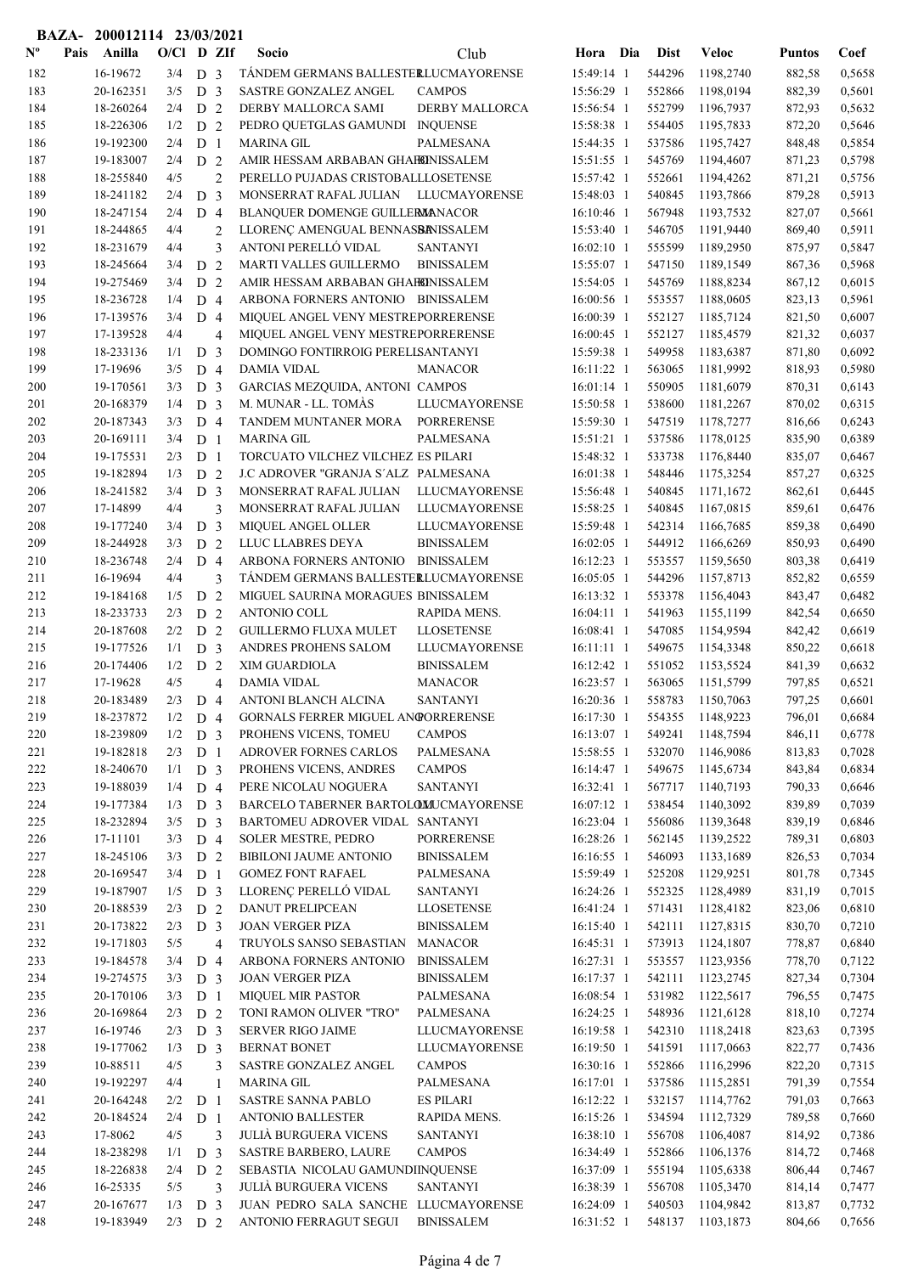|                |      | BAZA- 200012114 23/03/2021 |              |                                  |                |                                                            |                                     |                          |                  |                        |                  |                  |
|----------------|------|----------------------------|--------------|----------------------------------|----------------|------------------------------------------------------------|-------------------------------------|--------------------------|------------------|------------------------|------------------|------------------|
| $N^{\text{o}}$ | Pais | Anilla                     | $O/Cl$ D ZIf |                                  |                | Socio                                                      | Club                                | Hora Dia                 | <b>Dist</b>      | <b>Veloc</b>           | <b>Puntos</b>    | Coef             |
| 182            |      | 16-19672                   | 3/4          | D <sub>3</sub>                   |                | TÁNDEM GERMANS BALLESTERLUCMAYORENSE                       |                                     | 15:49:14 1               | 544296           | 1198,2740              | 882,58           | 0,5658           |
| 183            |      | 20-162351                  | 3/5          | D <sub>3</sub>                   |                | SASTRE GONZALEZ ANGEL                                      | <b>CAMPOS</b>                       | 15:56:29 1               | 552866           | 1198,0194              | 882,39           | 0,5601           |
| 184            |      | 18-260264                  | 2/4          | D <sub>2</sub>                   |                | DERBY MALLORCA SAMI                                        | <b>DERBY MALLORCA</b>               | 15:56:54 1               | 552799           | 1196,7937              | 872,93           | 0,5632           |
| 185            |      | 18-226306                  | 1/2          | D 2                              |                | PEDRO QUETGLAS GAMUNDI INQUENSE                            |                                     | 15:58:38 1               | 554405           | 1195,7833              | 872,20           | 0,5646           |
| 186            |      | 19-192300                  | 2/4          | D <sub>1</sub>                   |                | <b>MARINA GIL</b>                                          | PALMESANA                           | 15:44:35 1               | 537586           | 1195,7427              | 848,48           | 0,5854           |
| 187            |      | 19-183007                  | 2/4          | D <sub>2</sub>                   |                | AMIR HESSAM ARBABAN GHAFEINISSALEM                         |                                     | 15:51:55 1               | 545769           | 1194,4607              | 871,23           | 0,5798           |
| 188            |      | 18-255840                  | 4/5          |                                  | $\overline{2}$ | PERELLO PUJADAS CRISTOBALLLOSETENSE                        |                                     | 15:57:42 1               | 552661           | 1194,4262              | 871,21           | 0,5756           |
| 189            |      | 18-241182                  | 2/4          | D                                | $\overline{3}$ | MONSERRAT RAFAL JULIAN LLUCMAYORENSE                       |                                     | 15:48:03 1               | 540845           | 1193,7866              | 879,28           | 0,5913           |
| 190            |      | 18-247154                  | 2/4          | D <sub>4</sub>                   |                | BLANQUER DOMENGE GUILLERMANACOR                            |                                     | 16:10:46 1               | 567948           | 1193,7532              | 827,07           | 0,5661           |
| 191            |      | 18-244865                  | 4/4          |                                  | $\overline{2}$ | LLORENÇ AMENGUAL BENNASBANISSALEM                          |                                     | 15:53:40 1               | 546705           | 1191,9440              | 869,40           | 0,5911           |
| 192            |      | 18-231679                  | 4/4          |                                  | 3              | ANTONI PERELLÓ VIDAL                                       | <b>SANTANYI</b>                     | 16:02:10 1               | 555599           | 1189,2950              | 875,97           | 0,5847           |
| 193            |      | 18-245664                  | 3/4          | D <sub>2</sub>                   |                | <b>MARTI VALLES GUILLERMO</b>                              | <b>BINISSALEM</b>                   | 15:55:07 1               | 547150           | 1189,1549              | 867,36           | 0,5968           |
| 194            |      | 19-275469                  | 3/4          | D <sub>2</sub>                   |                | AMIR HESSAM ARBABAN GHAFEINISSALEM                         |                                     | 15:54:05 1               | 545769           | 1188,8234              | 867,12           | 0,6015           |
| 195            |      | 18-236728                  | 1/4          | D <sub>4</sub>                   |                | ARBONA FORNERS ANTONIO BINISSALEM                          |                                     | 16:00:56 1               | 553557           | 1188,0605              | 823,13           | 0,5961           |
| 196            |      | 17-139576                  | 3/4          | D <sub>4</sub>                   |                | MIQUEL ANGEL VENY MESTREPORRERENSE                         |                                     | 16:00:39 1               | 552127           | 1185,7124              | 821,50           | 0,6007           |
| 197            |      | 17-139528                  | 4/4          |                                  | $\overline{4}$ | MIQUEL ANGEL VENY MESTREPORRERENSE                         |                                     | $16:00:45$ 1             | 552127           | 1185,4579              | 821,32           | 0,6037           |
| 198            |      | 18-233136                  | 1/1          | D <sub>3</sub>                   |                | DOMINGO FONTIRROIG PERELLSANTANYI                          |                                     | 15:59:38 1               | 549958           | 1183,6387              | 871,80           | 0,6092           |
| 199            |      | 17-19696                   | 3/5          | $D_4$                            |                | <b>DAMIA VIDAL</b>                                         | <b>MANACOR</b>                      | 16:11:22 1               | 563065           | 1181,9992              | 818,93           | 0,5980           |
| 200            |      | 19-170561                  | 3/3          | D <sub>3</sub>                   |                | GARCIAS MEZQUIDA, ANTONI CAMPOS                            |                                     | $16:01:14$ 1             | 550905           | 1181,6079              | 870,31           | 0,6143           |
| 201            |      | 20-168379                  | 1/4          | D <sub>3</sub>                   |                | M. MUNAR - LL. TOMÀS                                       | LLUCMAYORENSE                       | 15:50:58 1               | 538600           | 1181,2267              | 870,02           | 0,6315           |
| 202            |      | 20-187343                  | 3/3          | D <sub>4</sub>                   |                | TANDEM MUNTANER MORA                                       | <b>PORRERENSE</b>                   | 15:59:30 1               | 547519           | 1178,7277              | 816,66           | 0,6243           |
| 203            |      | 20-169111                  | 3/4          | D <sub>1</sub>                   |                | MARINA GIL                                                 | PALMESANA                           | $15:51:21$ 1             | 537586           | 1178,0125              | 835,90           | 0,6389           |
| 204            |      | 19-175531                  | 2/3          | D <sub>1</sub>                   |                | TORCUATO VILCHEZ VILCHEZ ES PILARI                         |                                     | 15:48:32 1               | 533738           | 1176,8440              | 835,07           | 0,6467           |
| 205            |      | 19-182894                  | 1/3          | D <sub>2</sub>                   |                | J.C ADROVER "GRANJA S'ALZ PALMESANA                        |                                     | 16:01:38 1               | 548446           | 1175,3254              | 857,27           | 0,6325           |
| 206            |      | 18-241582                  | 3/4          | D <sub>3</sub>                   |                | MONSERRAT RAFAL JULIAN                                     | LLUCMAYORENSE                       | 15:56:48 1               | 540845           | 1171,1672              | 862,61           | 0,6445           |
| 207            |      | 17-14899                   | 4/4          |                                  | 3              | MONSERRAT RAFAL JULIAN                                     | LLUCMAYORENSE                       | 15:58:25 1               | 540845           | 1167,0815              | 859,61           | 0,6476           |
| 208            |      | 19-177240                  | 3/4          | D <sub>3</sub>                   |                | MIQUEL ANGEL OLLER                                         | LLUCMAYORENSE                       | 15:59:48 1               | 542314           | 1166,7685              | 859,38           | 0,6490           |
| 209            |      | 18-244928                  | 3/3          | D <sub>2</sub>                   |                | LLUC LLABRES DEYA                                          | <b>BINISSALEM</b>                   | 16:02:05 1               | 544912           | 1166,6269              | 850,93           | 0,6490           |
| 210            |      | 18-236748                  | 2/4          | D <sub>4</sub>                   |                | ARBONA FORNERS ANTONIO BINISSALEM                          |                                     | 16:12:23 1               | 553557           | 1159,5650              | 803,38           | 0,6419           |
| 211            |      | 16-19694                   | 4/4          |                                  | 3              | TÁNDEM GERMANS BALLESTERLUCMAYORENSE                       |                                     | 16:05:05 1               | 544296           | 1157,8713              | 852,82           | 0,6559           |
| 212            |      | 19-184168                  | 1/5          | D <sub>2</sub>                   |                | MIGUEL SAURINA MORAGUES BINISSALEM                         |                                     | 16:13:32 1               | 553378           | 1156,4043              | 843,47           | 0,6482           |
| 213            |      | 18-233733                  | 2/3          | D <sub>2</sub>                   |                | <b>ANTONIO COLL</b>                                        | RAPIDA MENS.                        | 16:04:11 1               | 541963           | 1155,1199              | 842,54           | 0,6650           |
| 214            |      | 20-187608                  | 2/2          | D                                | 2              | <b>GUILLERMO FLUXA MULET</b>                               | <b>LLOSETENSE</b>                   | 16:08:41 1               | 547085           | 1154,9594              | 842,42           | 0,6619           |
| 215            |      | 19-177526                  | 1/1          | D <sub>3</sub>                   |                | ANDRES PROHENS SALOM                                       | LLUCMAYORENSE                       | $16:11:11$ 1             | 549675           | 1154,3348              | 850,22           | 0,6618           |
| 216            |      | 20-174406                  | 1/2<br>4/5   | D <sub>2</sub>                   |                | XIM GUARDIOLA                                              | <b>BINISSALEM</b><br><b>MANACOR</b> | 16:12:42 1               | 551052           | 1153,5524              | 841,39           | 0,6632           |
| 217            |      | 17-19628                   |              |                                  | $\overline{4}$ | <b>DAMIA VIDAL</b>                                         |                                     | 16:23:57 1               | 563065           | 1151,5799              | 797,85           | 0,6521           |
| 218<br>219     |      | 20-183489                  | 2/3          | D 4                              |                | ANTONI BLANCH ALCINA<br>GORNALS FERRER MIGUEL ANGORRERENSE | <b>SANTANYI</b>                     | 16:20:36 1<br>16:17:30 1 | 558783           | 1150,7063              | 797,25           | 0,6601           |
| 220            |      | 18-237872<br>18-239809     | 1/2<br>1/2   | D <sub>4</sub>                   |                | PROHENS VICENS, TOMEU                                      | <b>CAMPOS</b>                       | 16:13:07 1               | 554355<br>549241 | 1148,9223<br>1148,7594 | 796,01<br>846,11 | 0,6684<br>0,6778 |
| 221            |      | 19-182818                  | 2/3          | D <sub>3</sub><br>D <sub>1</sub> |                | <b>ADROVER FORNES CARLOS</b>                               | PALMESANA                           | 15:58:55 1               | 532070           | 1146,9086              | 813,83           | 0,7028           |
| 222            |      | 18-240670                  | 1/1          | D <sub>3</sub>                   |                | PROHENS VICENS, ANDRES                                     | <b>CAMPOS</b>                       | 16:14:47 1               | 549675           | 1145,6734              | 843,84           | 0,6834           |
| 223            |      | 19-188039                  | 1/4          | D 4                              |                | PERE NICOLAU NOGUERA                                       | <b>SANTANYI</b>                     | 16:32:41 1               | 567717           | 1140,7193              | 790,33           | 0,6646           |
| 224            |      | 19-177384                  | 1/3          | D <sub>3</sub>                   |                | BARCELO TABERNER BARTOLOMUCMAYORENSE                       |                                     | 16:07:12 1               | 538454           | 1140,3092              | 839,89           | 0,7039           |
| 225            |      | 18-232894                  | 3/5          | D <sub>3</sub>                   |                | BARTOMEU ADROVER VIDAL SANTANYI                            |                                     | 16:23:04 1               | 556086           | 1139,3648              | 839,19           | 0,6846           |
| 226            |      | 17-11101                   | 3/3          | D 4                              |                | <b>SOLER MESTRE, PEDRO</b>                                 | <b>PORRERENSE</b>                   | 16:28:26 1               | 562145           | 1139,2522              | 789,31           | 0,6803           |
| 227            |      | 18-245106                  | 3/3          | D <sub>2</sub>                   |                | <b>BIBILONI JAUME ANTONIO</b>                              | <b>BINISSALEM</b>                   | 16:16:55 1               | 546093           | 1133,1689              | 826,53           | 0,7034           |
| 228            |      | 20-169547                  | 3/4          | D <sub>1</sub>                   |                | <b>GOMEZ FONT RAFAEL</b>                                   | PALMESANA                           | 15:59:49 1               | 525208           | 1129,9251              | 801,78           | 0,7345           |
| 229            |      | 19-187907                  | 1/5          | D <sub>3</sub>                   |                | LLORENÇ PERELLÓ VIDAL                                      | <b>SANTANYI</b>                     | 16:24:26 1               | 552325           | 1128,4989              | 831,19           | 0,7015           |
| 230            |      | 20-188539                  | 2/3          | D <sub>2</sub>                   |                | DANUT PRELIPCEAN                                           | <b>LLOSETENSE</b>                   | 16:41:24 1               | 571431           | 1128,4182              | 823,06           | 0,6810           |
| 231            |      | 20-173822                  | 2/3          | D <sub>3</sub>                   |                | <b>JOAN VERGER PIZA</b>                                    | <b>BINISSALEM</b>                   | 16:15:40 1               | 542111           | 1127,8315              | 830,70           | 0,7210           |
| 232            |      | 19-171803                  | 5/5          |                                  | $\overline{4}$ | TRUYOLS SANSO SEBASTIAN                                    | <b>MANACOR</b>                      | 16:45:31 1               | 573913           | 1124,1807              | 778,87           | 0,6840           |
| 233            |      | 19-184578                  | 3/4          | D <sub>4</sub>                   |                | ARBONA FORNERS ANTONIO                                     | <b>BINISSALEM</b>                   | 16:27:31 1               | 553557           | 1123,9356              | 778,70           | 0,7122           |
| 234            |      | 19-274575                  | 3/3          | D <sub>3</sub>                   |                | <b>JOAN VERGER PIZA</b>                                    | <b>BINISSALEM</b>                   | 16:17:37 1               | 542111           | 1123,2745              | 827,34           | 0,7304           |
| 235            |      | 20-170106                  | 3/3          | D <sub>1</sub>                   |                | <b>MIQUEL MIR PASTOR</b>                                   | PALMESANA                           | 16:08:54 1               | 531982           | 1122,5617              | 796,55           | 0,7475           |
| 236            |      | 20-169864                  | 2/3          | D 2                              |                | TONI RAMON OLIVER "TRO"                                    | PALMESANA                           | 16:24:25 1               | 548936           | 1121,6128              | 818,10           | 0,7274           |
| 237            |      | 16-19746                   | 2/3          | D <sub>3</sub>                   |                | <b>SERVER RIGO JAIME</b>                                   | LLUCMAYORENSE                       | 16:19:58 1               | 542310           | 1118,2418              | 823,63           | 0,7395           |
| 238            |      | 19-177062                  | 1/3          | D <sub>3</sub>                   |                | <b>BERNAT BONET</b>                                        | <b>LLUCMAYORENSE</b>                | 16:19:50 1               | 541591           | 1117,0663              | 822,77           | 0,7436           |
| 239            |      | 10-88511                   | 4/5          |                                  | 3              | SASTRE GONZALEZ ANGEL                                      | <b>CAMPOS</b>                       | 16:30:16 1               | 552866           | 1116,2996              | 822,20           | 0,7315           |
| 240            |      | 19-192297                  | 4/4          |                                  | 1              | MARINA GIL                                                 | PALMESANA                           | 16:17:01 1               | 537586           | 1115,2851              | 791,39           | 0,7554           |
| 241            |      | 20-164248                  | 2/2          | D <sub>1</sub>                   |                | SASTRE SANNA PABLO                                         | <b>ES PILARI</b>                    | 16:12:22 1               | 532157           | 1114,7762              | 791,03           | 0,7663           |
| 242            |      | 20-184524                  | 2/4          | D <sub>1</sub>                   |                | <b>ANTONIO BALLESTER</b>                                   | RAPIDA MENS.                        | 16:15:26 1               | 534594           | 1112,7329              | 789,58           | 0,7660           |
| 243            |      | 17-8062                    | 4/5          |                                  | 3              | <b>JULIÀ BURGUERA VICENS</b>                               | <b>SANTANYI</b>                     | 16:38:10 1               | 556708           | 1106,4087              | 814,92           | 0,7386           |
| 244            |      | 18-238298                  | 1/1          | D <sub>3</sub>                   |                | <b>SASTRE BARBERO, LAURE</b>                               | <b>CAMPOS</b>                       | 16:34:49 1               | 552866           | 1106,1376              | 814,72           | 0,7468           |
| 245            |      | 18-226838                  | 2/4          | D <sub>2</sub>                   |                | SEBASTIA NICOLAU GAMUNDIINQUENSE                           |                                     | 16:37:09 1               | 555194           | 1105,6338              | 806,44           | 0,7467           |
| 246            |      | 16-25335                   | 5/5          |                                  | 3              | JULIÀ BURGUERA VICENS                                      | <b>SANTANYI</b>                     | 16:38:39 1               | 556708           | 1105,3470              | 814,14           | 0,7477           |
| 247            |      | 20-167677                  | 1/3          | D <sub>3</sub>                   |                | JUAN PEDRO SALA SANCHE LLUCMAYORENSE                       |                                     | 16:24:09 1               | 540503           | 1104,9842              | 813,87           | 0,7732           |
| 248            |      | 19-183949                  | $2/3$ D 2    |                                  |                | ANTONIO FERRAGUT SEGUI                                     | <b>BINISSALEM</b>                   | 16:31:52 1               | 548137           | 1103,1873              | 804,66           | 0,7656           |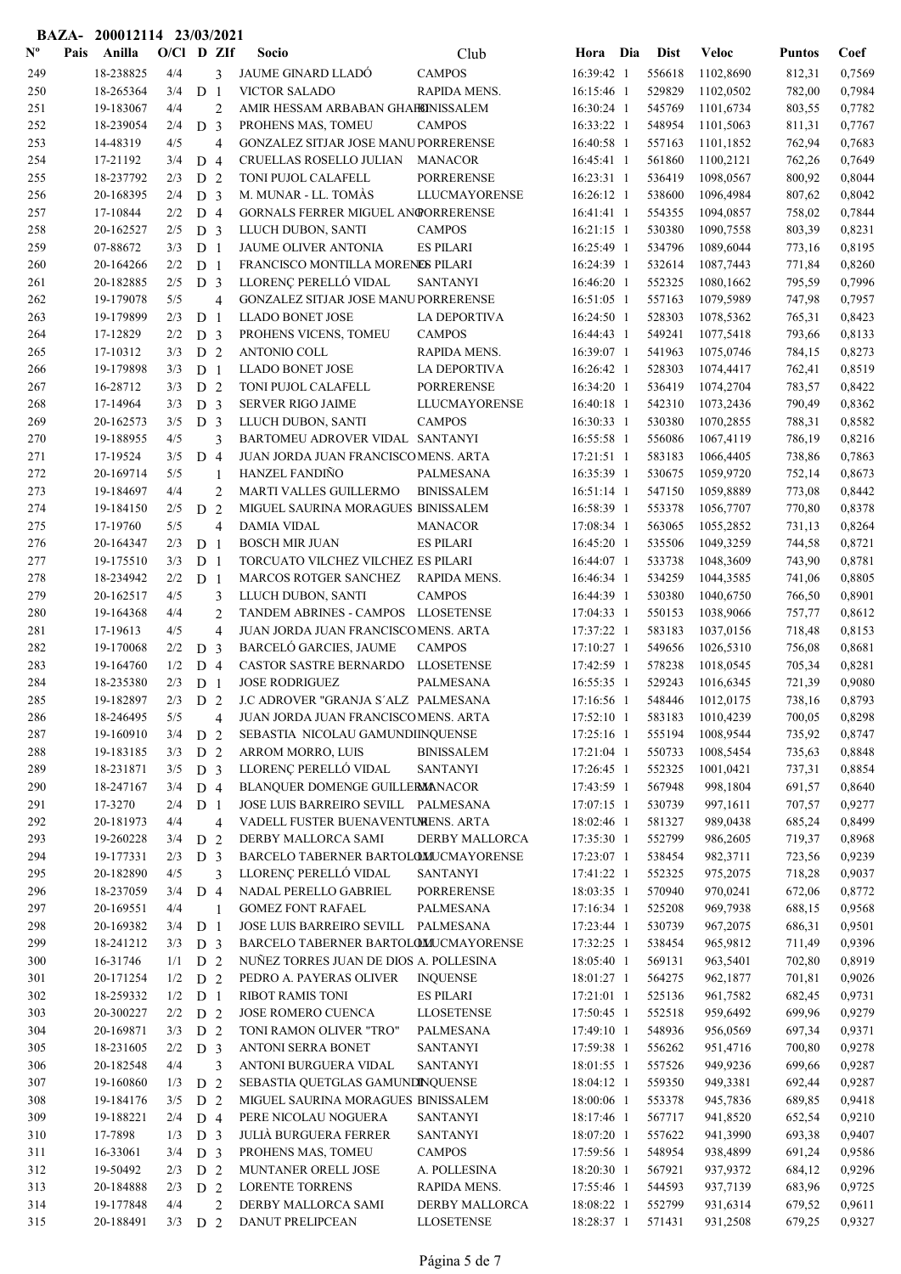|                |      | BAZA- 200012114 23/03/2021 |              |                                  |                                |                                                              |                                       |                          |                  |                        |                  |                  |
|----------------|------|----------------------------|--------------|----------------------------------|--------------------------------|--------------------------------------------------------------|---------------------------------------|--------------------------|------------------|------------------------|------------------|------------------|
| $N^{\text{o}}$ | Pais | Anilla                     | $O/Cl$ D ZIf |                                  |                                | Socio                                                        | Club                                  | Hora Dia                 | <b>Dist</b>      | <b>Veloc</b>           | <b>Puntos</b>    | Coef             |
| 249            |      | 18-238825                  | 4/4          |                                  | 3                              | <b>JAUME GINARD LLADÓ</b>                                    | <b>CAMPOS</b>                         | 16:39:42 1               | 556618           | 1102,8690              | 812,31           | 0,7569           |
| 250            |      | 18-265364                  | 3/4          | D <sub>1</sub>                   |                                | <b>VICTOR SALADO</b>                                         | RAPIDA MENS.                          | 16:15:46 1               | 529829           | 1102,0502              | 782,00           | 0,7984           |
| 251            |      | 19-183067                  | 4/4          |                                  | $\overline{2}$                 | AMIR HESSAM ARBABAN GHAFEINISSALEM                           |                                       | 16:30:24 1               | 545769           | 1101,6734              | 803,55           | 0,7782           |
| 252            |      | 18-239054                  | 2/4          | D <sub>3</sub>                   |                                | PROHENS MAS, TOMEU                                           | <b>CAMPOS</b>                         | 16:33:22 1               | 548954           | 1101,5063              | 811,31           | 0,7767           |
| 253            |      | 14-48319                   | 4/5          |                                  | $\overline{4}$                 | GONZALEZ SITJAR JOSE MANUPORRERENSE                          |                                       | 16:40:58 1               | 557163           | 1101,1852              | 762,94           | 0,7683           |
| 254            |      | 17-21192                   | 3/4          | D <sub>4</sub>                   |                                | CRUELLAS ROSELLO JULIAN                                      | <b>MANACOR</b><br><b>PORRERENSE</b>   | 16:45:41 1               | 561860           | 1100,2121              | 762,26           | 0,7649           |
| 255<br>256     |      | 18-237792<br>20-168395     | 2/3<br>2/4   | D <sub>2</sub><br>D <sub>3</sub> |                                | TONI PUJOL CALAFELL<br>M. MUNAR - LL. TOMÀS                  | <b>LLUCMAYORENSE</b>                  | 16:23:31 1<br>16:26:12 1 | 536419<br>538600 | 1098,0567<br>1096,4984 | 800,92<br>807,62 | 0,8044<br>0,8042 |
| 257            |      | 17-10844                   | 2/2          | D <sub>4</sub>                   |                                | GORNALS FERRER MIGUEL ANGORRERENSE                           |                                       | 16:41:41 1               | 554355           | 1094,0857              | 758,02           | 0,7844           |
| 258            |      | 20-162527                  | 2/5          | D <sub>3</sub>                   |                                | LLUCH DUBON, SANTI                                           | <b>CAMPOS</b>                         | 16:21:15 1               | 530380           | 1090,7558              | 803,39           | 0,8231           |
| 259            |      | 07-88672                   | 3/3          | D <sub>1</sub>                   |                                | <b>JAUME OLIVER ANTONIA</b>                                  | <b>ES PILARI</b>                      | 16:25:49 1               | 534796           | 1089,6044              | 773,16           | 0,8195           |
| 260            |      | 20-164266                  | 2/2          | D <sub>1</sub>                   |                                | FRANCISCO MONTILLA MORENES PILARI                            |                                       | 16:24:39 1               | 532614           | 1087,7443              | 771,84           | 0,8260           |
| 261            |      | 20-182885                  | 2/5          | D <sub>3</sub>                   |                                | LLORENÇ PERELLÓ VIDAL                                        | <b>SANTANYI</b>                       | 16:46:20 1               | 552325           | 1080,1662              | 795,59           | 0,7996           |
| 262            |      | 19-179078                  | 5/5          |                                  | $\overline{4}$                 | <b>GONZALEZ SITJAR JOSE MANUPORRERENSE</b>                   |                                       | 16:51:05 1               | 557163           | 1079,5989              | 747,98           | 0,7957           |
| 263            |      | 19-179899                  | 2/3          | D <sub>1</sub>                   |                                | <b>LLADO BONET JOSE</b>                                      | LA DEPORTIVA                          | 16:24:50 1               | 528303           | 1078,5362              | 765,31           | 0,8423           |
| 264            |      | 17-12829                   | 2/2          | D <sub>3</sub>                   |                                | PROHENS VICENS, TOMEU                                        | <b>CAMPOS</b>                         | 16:44:43 1               | 549241           | 1077,5418              | 793,66           | 0,8133           |
| 265            |      | 17-10312                   | 3/3          | D <sub>2</sub>                   |                                | <b>ANTONIO COLL</b>                                          | RAPIDA MENS.                          | 16:39:07 1               | 541963           | 1075,0746              | 784,15           | 0,8273           |
| 266            |      | 19-179898                  | 3/3          | D                                | $\overline{1}$                 | <b>LLADO BONET JOSE</b>                                      | <b>LA DEPORTIVA</b>                   | 16:26:42 1               | 528303           | 1074,4417              | 762,41           | 0,8519           |
| 267            |      | 16-28712                   | 3/3          | D <sub>2</sub>                   |                                | TONI PUJOL CALAFELL                                          | <b>PORRERENSE</b>                     | 16:34:20 1               | 536419           | 1074,2704              | 783,57           | 0,8422           |
| 268            |      | 17-14964                   | 3/3          | D <sub>3</sub>                   |                                | <b>SERVER RIGO JAIME</b>                                     | LLUCMAYORENSE                         | 16:40:18 1               | 542310           | 1073,2436              | 790,49           | 0,8362           |
| 269            |      | 20-162573                  | 3/5          | D <sub>3</sub>                   |                                | LLUCH DUBON, SANTI                                           | <b>CAMPOS</b>                         | 16:30:33 1               | 530380           | 1070,2855              | 788,31           | 0,8582           |
| 270            |      | 19-188955                  | 4/5          |                                  | 3                              | BARTOMEU ADROVER VIDAL SANTANYI                              |                                       | 16:55:58 1               | 556086           | 1067,4119              | 786,19           | 0,8216           |
| 271<br>272     |      | 17-19524<br>20-169714      | 3/5<br>5/5   | $D_4$                            |                                | JUAN JORDA JUAN FRANCISCOMENS. ARTA<br><b>HANZEL FANDIÑO</b> | PALMESANA                             | 17:21:51 1<br>16:35:39 1 | 583183<br>530675 | 1066,4405<br>1059,9720 | 738,86           | 0,7863<br>0,8673 |
| 273            |      | 19-184697                  | 4/4          |                                  | $\mathbf{1}$<br>$\overline{c}$ | MARTI VALLES GUILLERMO                                       | <b>BINISSALEM</b>                     | 16:51:14 1               | 547150           | 1059,8889              | 752,14<br>773,08 | 0,8442           |
| 274            |      | 19-184150                  | 2/5          | D 2                              |                                | MIGUEL SAURINA MORAGUES BINISSALEM                           |                                       | 16:58:39 1               | 553378           | 1056,7707              | 770,80           | 0,8378           |
| 275            |      | 17-19760                   | 5/5          |                                  | $\overline{4}$                 | <b>DAMIA VIDAL</b>                                           | <b>MANACOR</b>                        | 17:08:34 1               | 563065           | 1055,2852              | 731,13           | 0,8264           |
| 276            |      | 20-164347                  | 2/3          | D <sub>1</sub>                   |                                | <b>BOSCH MIR JUAN</b>                                        | <b>ES PILARI</b>                      | 16:45:20 1               | 535506           | 1049,3259              | 744,58           | 0,8721           |
| 277            |      | 19-175510                  | 3/3          | D <sub>1</sub>                   |                                | TORCUATO VILCHEZ VILCHEZ ES PILARI                           |                                       | 16:44:07 1               | 533738           | 1048,3609              | 743,90           | 0,8781           |
| 278            |      | 18-234942                  | 2/2          | D <sub>1</sub>                   |                                | MARCOS ROTGER SANCHEZ                                        | <b>RAPIDA MENS.</b>                   | 16:46:34 1               | 534259           | 1044,3585              | 741,06           | 0,8805           |
| 279            |      | 20-162517                  | 4/5          |                                  | 3                              | LLUCH DUBON, SANTI                                           | <b>CAMPOS</b>                         | 16:44:39 1               | 530380           | 1040,6750              | 766,50           | 0,8901           |
| 280            |      | 19-164368                  | 4/4          |                                  | $\mathbf{2}$                   | TANDEM ABRINES - CAMPOS LLOSETENSE                           |                                       | 17:04:33 1               | 550153           | 1038,9066              | 757,77           | 0,8612           |
| 281            |      | 17-19613                   | 4/5          |                                  | $\overline{4}$                 | JUAN JORDA JUAN FRANCISCOMENS. ARTA                          |                                       | 17:37:22 1               | 583183           | 1037,0156              | 718,48           | 0,8153           |
| 282            |      | 19-170068                  | 2/2          | D                                | 3                              | BARCELÓ GARCIES, JAUME                                       | <b>CAMPOS</b>                         | 17:10:27 1               | 549656           | 1026,5310              | 756,08           | 0,8681           |
| 283            |      | 19-164760                  | 1/2          | $D_4$                            |                                | CASTOR SASTRE BERNARDO                                       | <b>LLOSETENSE</b>                     | 17:42:59 1               | 578238           | 1018,0545              | 705,34           | 0,8281           |
| 284            |      | 18-235380                  | 2/3          | D <sub>1</sub>                   |                                | <b>JOSE RODRIGUEZ</b>                                        | <b>PALMESANA</b>                      | 16:55:35 1               | 529243           | 1016,6345              | 721,39           | 0,9080           |
| 285            |      | 19-182897                  | $2/3$ D 2    |                                  |                                | J.C ADROVER "GRANJA S'ALZ PALMESANA                          |                                       | 17:16:56 1               | 548446           | 1012,0175              | 738,16           | 0,8793           |
| 286            |      | 18-246495                  | 5/5          |                                  | $\overline{4}$                 | JUAN JORDA JUAN FRANCISCOMENS. ARTA                          |                                       | 17:52:10 1               | 583183           | 1010,4239              | 700,05           | 0,8298           |
| 287<br>288     |      | 19-160910<br>19-183185     | 3/4<br>3/3   | D <sub>2</sub>                   |                                | SEBASTIA NICOLAU GAMUNDIINQUENSE<br>ARROM MORRO, LUIS        | <b>BINISSALEM</b>                     | 17:25:16 1<br>17:21:04 1 | 555194<br>550733 | 1008,9544<br>1008,5454 | 735,92<br>735,63 | 0,8747<br>0,8848 |
| 289            |      | 18-231871                  | 3/5          | D <sub>2</sub><br>D <sub>3</sub> |                                | LLORENÇ PERELLÓ VIDAL                                        | <b>SANTANYI</b>                       | 17:26:45 1               | 552325           | 1001,0421              | 737,31           | 0,8854           |
| 290            |      | 18-247167                  | 3/4          | D 4                              |                                | BLANQUER DOMENGE GUILLERMANACOR                              |                                       | 17:43:59 1               | 567948           | 998,1804               | 691,57           | 0,8640           |
| 291            |      | 17-3270                    | 2/4          | D <sub>1</sub>                   |                                | JOSE LUIS BARREIRO SEVILL PALMESANA                          |                                       | 17:07:15 1               | 530739           | 997,1611               | 707,57           | 0,9277           |
| 292            |      | 20-181973                  | 4/4          |                                  | 4                              | VADELL FUSTER BUENAVENTUMENS. ARTA                           |                                       | 18:02:46 1               | 581327           | 989,0438               | 685,24           | 0,8499           |
| 293            |      | 19-260228                  | 3/4          | D 2                              |                                | DERBY MALLORCA SAMI                                          | <b>DERBY MALLORCA</b>                 | 17:35:30 1               | 552799           | 986,2605               | 719,37           | 0,8968           |
| 294            |      | 19-177331                  | 2/3          | D <sub>3</sub>                   |                                | BARCELO TABERNER BARTOLOMUCMAYORENSE                         |                                       | 17:23:07 1               | 538454           | 982,3711               | 723,56           | 0,9239           |
| 295            |      | 20-182890                  | 4/5          |                                  | 3                              | LLORENÇ PERELLÓ VIDAL                                        | <b>SANTANYI</b>                       | 17:41:22 1               | 552325           | 975,2075               | 718,28           | 0,9037           |
| 296            |      | 18-237059                  | 3/4          | D 4                              |                                | NADAL PERELLO GABRIEL                                        | <b>PORRERENSE</b>                     | 18:03:35 1               | 570940           | 970,0241               | 672,06           | 0,8772           |
| 297            |      | 20-169551                  | 4/4          |                                  | $\overline{1}$                 | <b>GOMEZ FONT RAFAEL</b>                                     | PALMESANA                             | 17:16:34 1               | 525208           | 969,7938               | 688,15           | 0,9568           |
| 298            |      | 20-169382                  | 3/4          | D <sub>1</sub>                   |                                | JOSE LUIS BARREIRO SEVILL PALMESANA                          |                                       | 17:23:44 1               | 530739           | 967,2075               | 686,31           | 0,9501           |
| 299            |      | 18-241212                  | 3/3          | D <sub>3</sub>                   |                                | BARCELO TABERNER BARTOLOMUCMAYORENSE                         |                                       | 17:32:25 1               | 538454           | 965,9812               | 711,49           | 0,9396           |
| 300            |      | 16-31746                   | 1/1          | D <sub>2</sub>                   |                                | NUÑEZ TORRES JUAN DE DIOS A. POLLESINA                       |                                       | 18:05:40 1               | 569131           | 963,5401               | 702,80           | 0,8919           |
| 301            |      | 20-171254                  | 1/2          | D <sub>2</sub>                   |                                | PEDRO A. PAYERAS OLIVER                                      | <b>INQUENSE</b>                       | 18:01:27 1               | 564275           | 962,1877               | 701,81           | 0,9026           |
| 302            |      | 18-259332<br>20-300227     | 1/2<br>2/2   | D <sub>1</sub><br>D 2            |                                | <b>RIBOT RAMIS TONI</b><br>JOSE ROMERO CUENCA                | <b>ES PILARI</b><br><b>LLOSETENSE</b> | 17:21:01 1<br>17:50:45 1 | 525136<br>552518 | 961,7582<br>959,6492   | 682,45<br>699,96 | 0,9731<br>0,9279 |
| 303<br>304     |      | 20-169871                  | 3/3          | D <sub>2</sub>                   |                                | TONI RAMON OLIVER "TRO"                                      | PALMESANA                             | 17:49:10 1               | 548936           | 956,0569               | 697,34           | 0,9371           |
| 305            |      | 18-231605                  | 2/2          | D <sub>3</sub>                   |                                | <b>ANTONI SERRA BONET</b>                                    | <b>SANTANYI</b>                       | 17:59:38 1               | 556262           | 951,4716               | 700,80           | 0,9278           |
| 306            |      | 20-182548                  | 4/4          |                                  | 3                              | ANTONI BURGUERA VIDAL                                        | <b>SANTANYI</b>                       | 18:01:55 1               | 557526           | 949,9236               | 699,66           | 0,9287           |
| 307            |      | 19-160860                  | 1/3          | D                                | $\overline{2}$                 | SEBASTIA QUETGLAS GAMUNDINQUENSE                             |                                       | 18:04:12 1               | 559350           | 949,3381               | 692,44           | 0,9287           |
| 308            |      | 19-184176                  | 3/5          | D 2                              |                                | MIGUEL SAURINA MORAGUES BINISSALEM                           |                                       | 18:00:06 1               | 553378           | 945,7836               | 689,85           | 0,9418           |
| 309            |      | 19-188221                  | 2/4          | D <sub>4</sub>                   |                                | PERE NICOLAU NOGUERA                                         | <b>SANTANYI</b>                       | 18:17:46 1               | 567717           | 941,8520               | 652,54           | 0,9210           |
| 310            |      | 17-7898                    | 1/3          | D <sub>3</sub>                   |                                | <b>JULIÀ BURGUERA FERRER</b>                                 | <b>SANTANYI</b>                       | 18:07:20 1               | 557622           | 941,3990               | 693,38           | 0,9407           |
| 311            |      | 16-33061                   | 3/4          | D <sub>3</sub>                   |                                | PROHENS MAS, TOMEU                                           | <b>CAMPOS</b>                         | 17:59:56 1               | 548954           | 938,4899               | 691,24           | 0,9586           |
| 312            |      | 19-50492                   | 2/3          | D <sub>2</sub>                   |                                | MUNTANER ORELL JOSE                                          | A. POLLESINA                          | 18:20:30 1               | 567921           | 937,9372               | 684,12           | 0,9296           |
| 313            |      | 20-184888                  | 2/3          | D <sub>2</sub>                   |                                | <b>LORENTE TORRENS</b>                                       | RAPIDA MENS.                          | 17:55:46 1               | 544593           | 937,7139               | 683,96           | 0,9725           |
| 314            |      | 19-177848                  | 4/4          |                                  | $\overline{2}$                 | DERBY MALLORCA SAMI                                          | DERBY MALLORCA                        | 18:08:22 1               | 552799           | 931,6314               | 679,52           | 0,9611           |
| 315            |      | 20-188491                  | $3/3$ D 2    |                                  |                                | DANUT PRELIPCEAN                                             | <b>LLOSETENSE</b>                     | 18:28:37 1               | 571431           | 931,2508               | 679,25           | 0,9327           |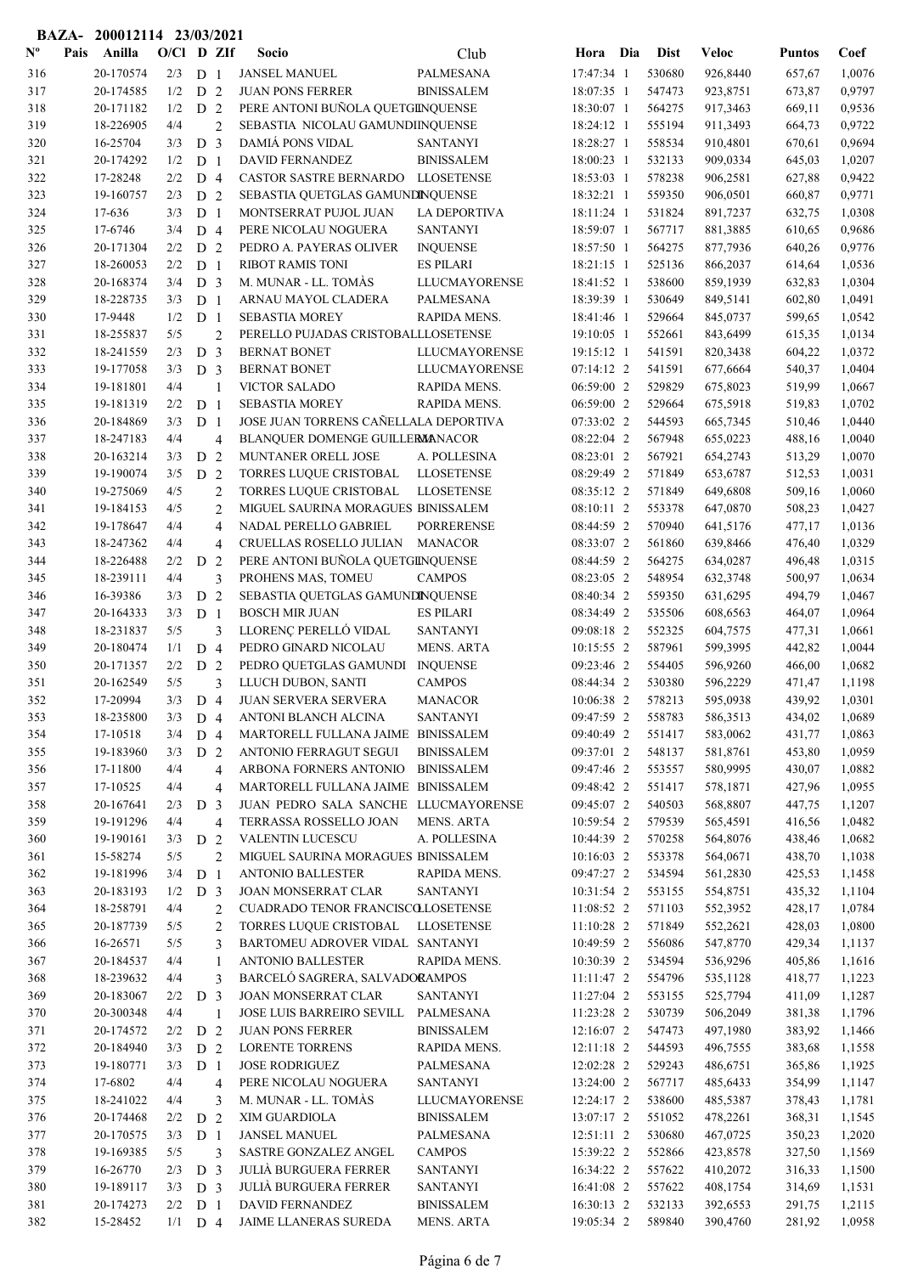|                |      | BAZA- 200012114 23/03/2021 |              |                                  |                |                                                                |                                |                          |                  |                      |                  |                  |
|----------------|------|----------------------------|--------------|----------------------------------|----------------|----------------------------------------------------------------|--------------------------------|--------------------------|------------------|----------------------|------------------|------------------|
| $N^{\text{o}}$ | Pais | Anilla                     | $O/Cl$ D ZIf |                                  |                | Socio                                                          | Club                           | Hora Dia                 | <b>Dist</b>      | <b>Veloc</b>         | <b>Puntos</b>    | Coef             |
| 316            |      | 20-170574                  | 2/3          | D 1                              |                | <b>JANSEL MANUEL</b>                                           | PALMESANA                      | 17:47:34 1               | 530680           | 926,8440             | 657,67           | 1,0076           |
| 317            |      | 20-174585                  | 1/2          | D <sub>2</sub>                   |                | <b>JUAN PONS FERRER</b>                                        | <b>BINISSALEM</b>              | 18:07:35 1               | 547473           | 923,8751             | 673,87           | 0,9797           |
| 318            |      | 20-171182                  | 1/2          | D <sub>2</sub>                   |                | PERE ANTONI BUÑOLA QUETGINQUENSE                               |                                | 18:30:07 1               | 564275           | 917,3463             | 669,11           | 0,9536           |
| 319            |      | 18-226905                  | 4/4          |                                  | $\overline{2}$ | SEBASTIA NICOLAU GAMUNDIINQUENSE                               |                                | 18:24:12 1               | 555194           | 911,3493             | 664,73           | 0,9722           |
| 320            |      | 16-25704                   | 3/3          | D <sub>3</sub>                   |                | DAMIÁ PONS VIDAL                                               | <b>SANTANYI</b>                | 18:28:27 1               | 558534           | 910,4801             | 670,61           | 0,9694           |
| 321            |      | 20-174292                  | 1/2          | D <sub>1</sub>                   |                | DAVID FERNANDEZ                                                | <b>BINISSALEM</b>              | 18:00:23 1               | 532133           | 909,0334             | 645,03           | 1,0207           |
| 322            |      | 17-28248                   | 2/2          | $D_4$                            |                | CASTOR SASTRE BERNARDO LLOSETENSE                              |                                | 18:53:03 1               | 578238           | 906,2581             | 627,88           | 0,9422           |
| 323            |      | 19-160757                  | 2/3          | D <sub>2</sub>                   |                | SEBASTIA QUETGLAS GAMUNDINQUENSE                               |                                | 18:32:21 1               | 559350           | 906,0501             | 660,87           | 0,9771           |
| 324            |      | 17-636                     | 3/3          | D <sub>1</sub>                   |                | MONTSERRAT PUJOL JUAN                                          | LA DEPORTIVA                   | 18:11:24 1               | 531824           | 891,7237             | 632,75           | 1,0308           |
| 325            |      | 17-6746                    | 3/4          | $D_4$                            |                | PERE NICOLAU NOGUERA                                           | <b>SANTANYI</b>                | 18:59:07 1               | 567717           | 881,3885             | 610,65           | 0,9686           |
| 326            |      | 20-171304                  | 2/2          | D                                | 2              | PEDRO A. PAYERAS OLIVER                                        | <b>INQUENSE</b>                | 18:57:50 1               | 564275           | 877,7936             | 640,26           | 0,9776           |
| 327            |      | 18-260053                  | 2/2          | D <sub>1</sub>                   |                | <b>RIBOT RAMIS TONI</b>                                        | <b>ES PILARI</b>               | 18:21:15 1               | 525136           | 866,2037             | 614,64           | 1,0536           |
| 328            |      | 20-168374                  | 3/4          | D <sub>3</sub>                   |                | M. MUNAR - LL. TOMAS                                           | <b>LLUCMAYORENSE</b>           | 18:41:52 1               | 538600           | 859,1939             | 632,83           | 1,0304           |
| 329            |      | 18-228735                  | 3/3          | D <sub>1</sub>                   |                | ARNAU MAYOL CLADERA                                            | PALMESANA                      | 18:39:39 1               | 530649           | 849,5141             | 602,80           | 1,0491           |
| 330            |      | 17-9448                    | 1/2          | D <sub>1</sub>                   |                | <b>SEBASTIA MOREY</b>                                          | RAPIDA MENS.                   | 18:41:46 1               | 529664           | 845,0737             | 599,65           | 1,0542           |
| 331            |      | 18-255837                  | 5/5          |                                  | $\overline{2}$ | PERELLO PUJADAS CRISTOBALLLOSETENSE                            |                                | 19:10:05 1               | 552661           | 843,6499             | 615,35           | 1,0134           |
| 332<br>333     |      | 18-241559<br>19-177058     | 2/3<br>3/3   | D <sub>3</sub><br>D <sub>3</sub> |                | <b>BERNAT BONET</b><br><b>BERNAT BONET</b>                     | LLUCMAYORENSE<br>LLUCMAYORENSE | 19:15:12 1<br>07:14:12 2 | 541591<br>541591 | 820,3438<br>677,6664 | 604,22<br>540,37 | 1,0372<br>1,0404 |
| 334            |      | 19-181801                  | 4/4          |                                  | $\mathbf{1}$   | <b>VICTOR SALADO</b>                                           | RAPIDA MENS.                   | 06:59:00 2               | 529829           | 675,8023             | 519,99           | 1,0667           |
| 335            |      | 19-181319                  | 2/2          | D <sub>1</sub>                   |                | <b>SEBASTIA MOREY</b>                                          | RAPIDA MENS.                   | 06:59:00 2               | 529664           | 675,5918             | 519,83           | 1,0702           |
| 336            |      | 20-184869                  | 3/3          | D <sub>1</sub>                   |                | JOSE JUAN TORRENS CAÑELLALA DEPORTIVA                          |                                | 07:33:02 2               | 544593           | 665,7345             | 510,46           | 1,0440           |
| 337            |      | 18-247183                  | 4/4          |                                  | $\overline{4}$ | BLANQUER DOMENGE GUILLERMANACOR                                |                                | 08:22:04 2               | 567948           | 655,0223             | 488,16           | 1,0040           |
| 338            |      | 20-163214                  | 3/3          | D <sub>2</sub>                   |                | MUNTANER ORELL JOSE                                            | A. POLLESINA                   | 08:23:01 2               | 567921           | 654,2743             | 513,29           | 1,0070           |
| 339            |      | 19-190074                  | 3/5          | D 2                              |                | TORRES LUQUE CRISTOBAL                                         | <b>LLOSETENSE</b>              | 08:29:49 2               | 571849           | 653,6787             | 512,53           | 1,0031           |
| 340            |      | 19-275069                  | 4/5          |                                  | $\overline{2}$ | TORRES LUQUE CRISTOBAL                                         | <b>LLOSETENSE</b>              | 08:35:12 2               | 571849           | 649,6808             | 509,16           | 1,0060           |
| 341            |      | 19-184153                  | 4/5          |                                  | $\overline{2}$ | MIGUEL SAURINA MORAGUES BINISSALEM                             |                                | 08:10:11 2               | 553378           | 647,0870             | 508,23           | 1,0427           |
| 342            |      | 19-178647                  | 4/4          |                                  | $\overline{4}$ | NADAL PERELLO GABRIEL                                          | <b>PORRERENSE</b>              | 08:44:59 2               | 570940           | 641,5176             | 477,17           | 1,0136           |
| 343            |      | 18-247362                  | 4/4          |                                  | $\overline{4}$ | CRUELLAS ROSELLO JULIAN                                        | <b>MANACOR</b>                 | 08:33:07 2               | 561860           | 639,8466             | 476,40           | 1,0329           |
| 344            |      | 18-226488                  | 2/2          | D                                | 2              | PERE ANTONI BUÑOLA QUETGINQUENSE                               |                                | 08:44:59 2               | 564275           | 634,0287             | 496,48           | 1,0315           |
| 345            |      | 18-239111                  | 4/4          |                                  | 3              | PROHENS MAS, TOMEU                                             | <b>CAMPOS</b>                  | 08:23:05 2               | 548954           | 632,3748             | 500,97           | 1,0634           |
| 346            |      | 16-39386                   | 3/3          | D 2                              |                | SEBASTIA QUETGLAS GAMUNDINQUENSE                               |                                | 08:40:34 2               | 559350           | 631,6295             | 494,79           | 1,0467           |
| 347            |      | 20-164333                  | 3/3          | D <sub>1</sub>                   |                | <b>BOSCH MIR JUAN</b>                                          | <b>ES PILARI</b>               | 08:34:49 2               | 535506           | 608,6563             | 464,07           | 1,0964           |
| 348            |      | 18-231837                  | 5/5          |                                  | 3              | LLORENÇ PERELLÓ VIDAL                                          | <b>SANTANYI</b>                | 09:08:18 2               | 552325           | 604,7575             | 477,31           | 1,0661           |
| 349            |      | 20-180474                  | 1/1          | D 4                              |                | PEDRO GINARD NICOLAU                                           | MENS. ARTA                     | 10:15:55 2               | 587961           | 599,3995             | 442,82           | 1,0044           |
| 350            |      | 20-171357                  | 2/2          | D 2                              |                | PEDRO QUETGLAS GAMUNDI                                         | <b>INQUENSE</b>                | 09:23:46 2               | 554405           | 596,9260             | 466,00           | 1,0682           |
| 351            |      | 20-162549                  | 5/5          |                                  | 3              | LLUCH DUBON, SANTI                                             | <b>CAMPOS</b>                  | 08:44:34 2               | 530380           | 596,2229             | 471,47           | 1,1198           |
| 352            |      | 17-20994                   | $3/3$ D 4    |                                  |                | <b>JUAN SERVERA SERVERA</b>                                    | <b>MANACOR</b>                 | 10:06:38 2               | 578213           | 595,0938             | 439,92           | 1,0301           |
| 353            |      | 18-235800                  | 3/3          | D 4                              |                | ANTONI BLANCH ALCINA                                           | <b>SANTANYI</b>                | 09:47:59 2               | 558783           | 586,3513             | 434,02           | 1,0689           |
| 354            |      | 17-10518                   | 3/4          | D 4                              |                | MARTORELL FULLANA JAIME BINISSALEM                             |                                | 09:40:49 2               | 551417           | 583,0062             | 431,77           | 1,0863           |
| 355            |      | 19-183960                  | 3/3          | D <sub>2</sub>                   |                | ANTONIO FERRAGUT SEGUI                                         | <b>BINISSALEM</b>              | 09:37:01 2               | 548137           | 581,8761             | 453,80           | 1,0959           |
| 356            |      | 17-11800                   | 4/4          |                                  | $\overline{4}$ | ARBONA FORNERS ANTONIO                                         | <b>BINISSALEM</b>              | 09:47:46 2               | 553557           | 580,9995             | 430,07           | 1,0882           |
| 357            |      | 17-10525                   | 4/4          |                                  | 4              | MARTORELL FULLANA JAIME BINISSALEM                             |                                | 09:48:42 2               | 551417           | 578,1871             | 427,96           | 1,0955           |
| 358            |      | 20-167641                  | 2/3          | D <sub>3</sub>                   |                | JUAN PEDRO SALA SANCHE LLUCMAYORENSE                           |                                | 09:45:07 2               | 540503           | 568,8807             | 447,75           | 1,1207           |
| 359            |      | 19-191296                  | 4/4          |                                  | $\overline{4}$ | TERRASSA ROSSELLO JOAN                                         | <b>MENS. ARTA</b>              | 10:59:54 2               | 579539           | 565,4591             | 416,56           | 1,0482           |
| 360            |      | 19-190161                  | 3/3          | D 2                              |                | <b>VALENTIN LUCESCU</b>                                        | A. POLLESINA                   | 10:44:39 2               | 570258           | 564,8076             | 438,46           | 1,0682           |
| 361            |      | 15-58274<br>19-181996      | 5/5<br>3/4   |                                  | $\overline{2}$ | MIGUEL SAURINA MORAGUES BINISSALEM<br><b>ANTONIO BALLESTER</b> | RAPIDA MENS.                   | 10:16:03 2<br>09:47:27 2 | 553378           | 564,0671             | 438,70           | 1,1038           |
| 362            |      | 20-183193                  | 1/2          | D <sub>1</sub>                   |                | <b>JOAN MONSERRAT CLAR</b>                                     | <b>SANTANYI</b>                | 10:31:54 2               | 534594<br>553155 | 561,2830             | 425,53           | 1,1458<br>1,1104 |
| 363<br>364     |      | 18-258791                  | 4/4          | D <sub>3</sub>                   | $\overline{2}$ | CUADRADO TENOR FRANCISCOLLOSETENSE                             |                                | 11:08:52 2               | 571103           | 554,8751<br>552,3952 | 435,32<br>428,17 | 1,0784           |
| 365            |      | 20-187739                  | 5/5          |                                  | $\overline{2}$ | TORRES LUQUE CRISTOBAL                                         | <b>LLOSETENSE</b>              | 11:10:28 2               | 571849           | 552,2621             | 428,03           | 1,0800           |
| 366            |      | 16-26571                   | 5/5          |                                  | 3              | BARTOMEU ADROVER VIDAL SANTANYI                                |                                | 10:49:59 2               | 556086           | 547,8770             | 429,34           | 1,1137           |
| 367            |      | 20-184537                  | 4/4          |                                  | 1              | ANTONIO BALLESTER                                              | RAPIDA MENS.                   | 10:30:39 2               | 534594           | 536,9296             | 405,86           | 1,1616           |
| 368            |      | 18-239632                  | 4/4          |                                  | 3              | BARCELÓ SAGRERA, SALVADORAMPOS                                 |                                | $11:11:47$ 2             | 554796           | 535,1128             | 418,77           | 1,1223           |
| 369            |      | 20-183067                  | 2/2          | D <sub>3</sub>                   |                | <b>JOAN MONSERRAT CLAR</b>                                     | <b>SANTANYI</b>                | 11:27:04 2               | 553155           | 525,7794             | 411,09           | 1,1287           |
| 370            |      | 20-300348                  | 4/4          |                                  | $\mathbf{1}$   | JOSE LUIS BARREIRO SEVILL PALMESANA                            |                                | 11:23:28 2               | 530739           | 506,2049             | 381,38           | 1,1796           |
| 371            |      | 20-174572                  | 2/2          | D <sub>2</sub>                   |                | <b>JUAN PONS FERRER</b>                                        | <b>BINISSALEM</b>              | 12:16:07 2               | 547473           | 497,1980             | 383,92           | 1,1466           |
| 372            |      | 20-184940                  | 3/3          | D 2                              |                | <b>LORENTE TORRENS</b>                                         | RAPIDA MENS.                   | 12:11:18 2               | 544593           | 496,7555             | 383,68           | 1,1558           |
| 373            |      | 19-180771                  | 3/3          | D <sub>1</sub>                   |                | <b>JOSE RODRIGUEZ</b>                                          | PALMESANA                      | 12:02:28 2               | 529243           | 486,6751             | 365,86           | 1,1925           |
| 374            |      | 17-6802                    | 4/4          |                                  | 4              | PERE NICOLAU NOGUERA                                           | <b>SANTANYI</b>                | 13:24:00 2               | 567717           | 485,6433             | 354,99           | 1,1147           |
| 375            |      | 18-241022                  | 4/4          |                                  | 3              | M. MUNAR - LL. TOMAS                                           | LLUCMAYORENSE                  | $12:24:17$ 2             | 538600           | 485,5387             | 378,43           | 1,1781           |
| 376            |      | 20-174468                  | 2/2          | D 2                              |                | XIM GUARDIOLA                                                  | <b>BINISSALEM</b>              | 13:07:17 2               | 551052           | 478,2261             | 368,31           | 1,1545           |
| 377            |      | 20-170575                  | 3/3          | D <sub>1</sub>                   |                | <b>JANSEL MANUEL</b>                                           | PALMESANA                      | 12:51:11 2               | 530680           | 467,0725             | 350,23           | 1,2020           |
| 378            |      | 19-169385                  | 5/5          |                                  | 3              | SASTRE GONZALEZ ANGEL                                          | <b>CAMPOS</b>                  | 15:39:22 2               | 552866           | 423,8578             | 327,50           | 1,1569           |
| 379            |      | 16-26770                   | 2/3          | D <sub>3</sub>                   |                | <b>JULIÀ BURGUERA FERRER</b>                                   | <b>SANTANYI</b>                | 16:34:22 2               | 557622           | 410,2072             | 316,33           | 1,1500           |
| 380            |      | 19-189117                  | 3/3          | D <sub>3</sub>                   |                | <b>JULIÀ BURGUERA FERRER</b>                                   | <b>SANTANYI</b>                | 16:41:08 2               | 557622           | 408,1754             | 314,69           | 1,1531           |
| 381            |      | 20-174273                  | 2/2          | D <sub>1</sub>                   |                | <b>DAVID FERNANDEZ</b>                                         | <b>BINISSALEM</b>              | 16:30:13 2               | 532133           | 392,6553             | 291,75           | 1,2115           |
| 382            |      | 15-28452                   | $1/1$ D 4    |                                  |                | JAIME LLANERAS SUREDA                                          | MENS. ARTA                     | 19:05:34 2               | 589840           | 390,4760             | 281,92           | 1,0958           |